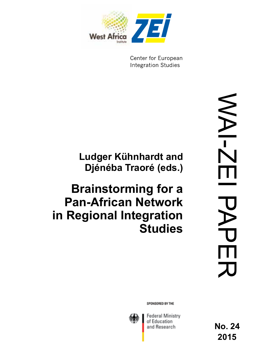

Center for European **Integration Studies** 

# **Ludger Kühnhardt and Djénéba Traoré (eds.)**

# **Brainstorming for a Pan-African Network in Regional Integration Studies**

SPONSORED BY THE



Federal Ministry of Education and Research

**No. 24 2015**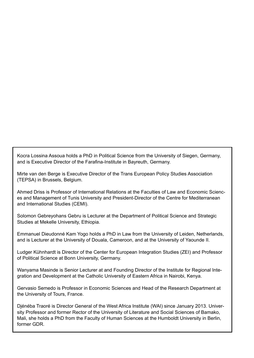Kocra Lossina Assoua holds a PhD in Political Science from the University of Siegen, Germany, and is Executive Director of the Farafina-Institute in Bayreuth, Germany.

Mirte van den Berge is Executive Director of the Trans European Policy Studies Association (TEPSA) in Brussels, Belgium.

Ahmed Driss is Professor of International Relations at the Faculties of Law and Economic Sciences and Management of Tunis University and President-Director of the Centre for Mediterranean and International Studies (CEMI).

Solomon Gebreyohans Gebru is Lecturer at the Department of Political Science and Strategic Studies at Mekelle University, Ethiopia.

Emmanuel Dieudonné Kam Yogo holds a PhD in Law from the University of Leiden, Netherlands, and is Lecturer at the University of Douala, Cameroon, and at the University of Yaounde II.

Ludger Kühnhardt is Director of the Center for European Integration Studies (ZEI) and Professor of Political Science at Bonn University, Germany.

Wanyama Masinde is Senior Lecturer at and Founding Director of the Institute for Regional Integration and Development at the Catholic University of Eastern Africa in Nairobi, Kenya.

Gervasio Semedo is Professor in Economic Sciences and Head of the Research Department at the University of Tours, France.

Djénéba Traoré is Director General of the West Africa Institute (WAI) since January 2013. University Professor and former Rector of the University of Literature and Social Sciences of Bamako, Mali, she holds a PhD from the Faculty of Human Sciences at the Humboldt University in Berlin, former GDR.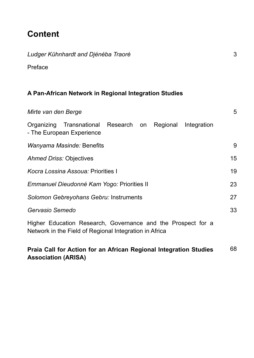### **Content**

*Ludger Kühnhardt and Djénéba Traoré*

| Preface                                                                                                                |    |
|------------------------------------------------------------------------------------------------------------------------|----|
| A Pan-African Network in Regional Integration Studies                                                                  |    |
| Mirte van den Berge                                                                                                    | 5  |
| Organizing Transnational Research on Regional<br>Integration<br>- The European Experience                              |    |
| <i>Wanyama Masinde:</i> Benefits                                                                                       | 9  |
| <b>Ahmed Driss: Objectives</b>                                                                                         | 15 |
| Kocra Lossina Assoua: Priorities I                                                                                     | 19 |
| Emmanuel Dieudonné Kam Yogo: Priorities II                                                                             | 23 |
| Solomon Gebreyohans Gebru: Instruments                                                                                 | 27 |
| Gervasio Semedo                                                                                                        | 33 |
| Higher Education Research, Governance and the Prospect for a<br>Network in the Field of Regional Integration in Africa |    |

#### **Praia Call for Action for an African Regional Integration Studies Association (ARISA)** 68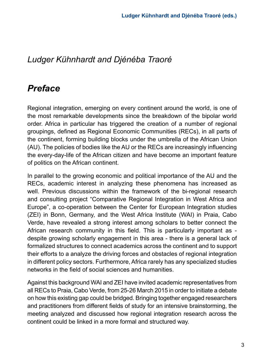### *Ludger Kühnhardt and Djénéba Traoré*

### *Preface*

Regional integration, emerging on every continent around the world, is one of the most remarkable developments since the breakdown of the bipolar world order. Africa in particular has triggered the creation of a number of regional groupings, defined as Regional Economic Communities (RECs), in all parts of the continent, forming building blocks under the umbrella of the African Union (AU). The policies of bodies like the AU or the RECs are increasingly influencing the every-day-life of the African citizen and have become an important feature of politics on the African continent.

In parallel to the growing economic and political importance of the AU and the RECs, academic interest in analyzing these phenomena has increased as well. Previous discussions within the framework of the bi-regional research and consulting project "Comparative Regional Integration in West Africa and Europe", a co-operation between the Center for European Integration studies (ZEI) in Bonn, Germany, and the West Africa Institute (WAI) in Praia, Cabo Verde, have revealed a strong interest among scholars to better connect the African research community in this field. This is particularly important as despite growing scholarly engagement in this area - there is a general lack of formalized structures to connect academics across the continent and to support their efforts to a analyze the driving forces and obstacles of regional integration in different policy sectors. Furthermore, Africa rarely has any specialized studies networks in the field of social sciences and humanities.

Against this background WAI and ZEI have invited academic representatives from all RECs to Praia, Cabo Verde, from 25-26 March 2015 in order to initiate a debate on how this existing gap could be bridged. Bringing together engaged researchers and practitioners from different fields of study for an intensive brainstorming, the meeting analyzed and discussed how regional integration research across the continent could be linked in a more formal and structured way.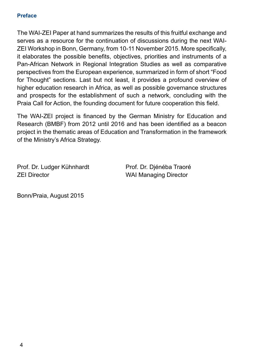#### **Preface**

The WAI-ZEI Paper at hand summarizes the results of this fruitful exchange and serves as a resource for the continuation of discussions during the next WAI-ZEI Workshop in Bonn, Germany, from 10-11 November 2015. More specifically, it elaborates the possible benefits, objectives, priorities and instruments of a Pan-African Network in Regional Integration Studies as well as comparative perspectives from the European experience, summarized in form of short "Food for Thought" sections. Last but not least, it provides a profound overview of higher education research in Africa, as well as possible governance structures and prospects for the establishment of such a network, concluding with the Praia Call for Action, the founding document for future cooperation this field.

The WAI-ZEI project is financed by the German Ministry for Education and Research (BMBF) from 2012 until 2016 and has been identified as a beacon project in the thematic areas of Education and Transformation in the framework of the Ministry's Africa Strategy.

Prof. Dr. Ludger Kühnhardt Prof. Dr. Djénéba Traoré ZEI Director WAI Managing Director

Bonn/Praia, August 2015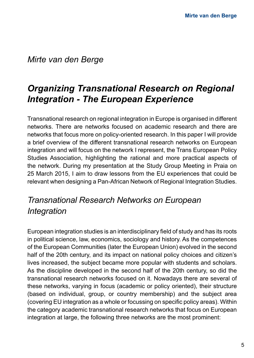#### *Mirte van den Berge*

# *Organizing Transnational Research on Regional Integration - The European Experience*

Transnational research on regional integration in Europe is organised in different networks. There are networks focused on academic research and there are networks that focus more on policy-oriented research. In this paper I will provide a brief overview of the different transnational research networks on European integration and will focus on the network I represent, the Trans European Policy Studies Association, highlighting the rational and more practical aspects of the network. During my presentation at the Study Group Meeting in Praia on 25 March 2015, I aim to draw lessons from the EU experiences that could be relevant when designing a Pan-African Network of Regional Integration Studies.

### *Transnational Research Networks on European Integration*

European integration studies is an interdisciplinary field of study and has its roots in political science, law, economics, sociology and history. As the competences of the European Communities (later the European Union) evolved in the second half of the 20th century, and its impact on national policy choices and citizen's lives increased, the subject became more popular with students and scholars. As the discipline developed in the second half of the 20th century, so did the transnational research networks focused on it. Nowadays there are several of these networks, varying in focus (academic or policy oriented), their structure (based on individual, group, or country membership) and the subject area (covering EU integration as a whole or focussing on specific policy areas). Within the category academic transnational research networks that focus on European integration at large, the following three networks are the most prominent: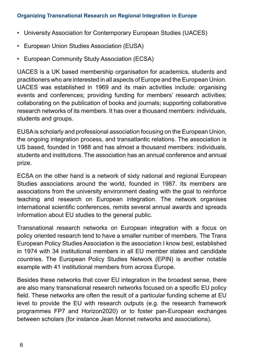- University Association for Contemporary European Studies (UACES)
- European Union Studies Association (EUSA)
- European Community Study Association (ECSA)

UACES is a UK based membership organisation for academics, students and practitioners who are interested in all aspects of Europe and the European Union. UACES was established in 1969 and its main activities include: organising events and conferences; providing funding for members' research activities; collaborating on the publication of books and journals; supporting collaborative research networks of its members. It has over a thousand members: individuals, students and groups.

EUSA is scholarly and professional association focusing on the European Union, the ongoing integration process, and transatlantic relations. The association is US based, founded in 1988 and has almost a thousand members: individuals, students and institutions. The association has an annual conference and annual prize.

ECSA on the other hand is a network of sixty national and regional European Studies associations around the world, founded in 1987. Its members are associations from the university environment dealing with the goal to reinforce teaching and research on European integration. The network organises international scientific conferences, remits several annual awards and spreads information about EU studies to the general public.

Transnational research networks on European integration with a focus on policy oriented research tend to have a smaller number of members. The Trans European Policy Studies Association is the association I know best, established in 1974 with 34 institutional members in all EU member states and candidate countries. The European Policy Studies Network (EPIN) is another notable example with 41 institutional members from across Europe.

Besides these networks that cover EU integration in the broadest sense, there are also many transnational research networks focused on a specific EU policy field. These networks are often the result of a particular funding scheme at EU level to provide the EU with research outputs (e.g. the research framework programmes FP7 and Horizon2020) or to foster pan-European exchanges between scholars (for instance Jean Monnet networks and associations).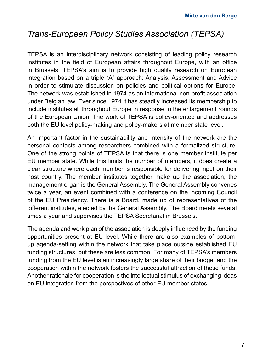### *Trans-European Policy Studies Association (TEPSA)*

TEPSA is an interdisciplinary network consisting of leading policy research institutes in the field of European affairs throughout Europe, with an office in Brussels. TEPSA's aim is to provide high quality research on European integration based on a triple "A" approach: Analysis, Assessment and Advice in order to stimulate discussion on policies and political options for Europe. The network was established in 1974 as an international non-profit association under Belgian law. Ever since 1974 it has steadily increased its membership to include institutes all throughout Europe in response to the enlargement rounds of the European Union. The work of TEPSA is policy-oriented and addresses both the EU level policy-making and policy-makers at member state level.

An important factor in the sustainability and intensity of the network are the personal contacts among researchers combined with a formalized structure. One of the strong points of TEPSA is that there is one member institute per EU member state. While this limits the number of members, it does create a clear structure where each member is responsible for delivering input on their host country. The member institutes together make up the association, the management organ is the General Assembly. The General Assembly convenes twice a year, an event combined with a conference on the incoming Council of the EU Presidency. There is a Board, made up of representatives of the different institutes, elected by the General Assembly. The Board meets several times a year and supervises the TEPSA Secretariat in Brussels.

The agenda and work plan of the association is deeply influenced by the funding opportunities present at EU level. While there are also examples of bottomup agenda-setting within the network that take place outside established EU funding structures, but these are less common. For many of TEPSA's members funding from the EU level is an increasingly large share of their budget and the cooperation within the network fosters the successful attraction of these funds. Another rationale for cooperation is the intellectual stimulus of exchanging ideas on EU integration from the perspectives of other EU member states.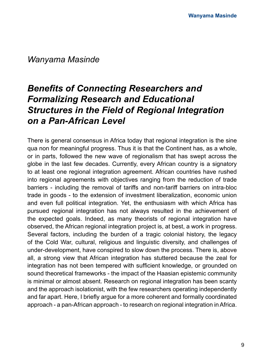#### *Wanyama Masinde*

# *Benefits of Connecting Researchers and Formalizing Research and Educational Structures in the Field of Regional Integration on a Pan-African Level*

There is general consensus in Africa today that regional integration is the sine qua non for meaningful progress. Thus it is that the Continent has, as a whole, or in parts, followed the new wave of regionalism that has swept across the globe in the last few decades. Currently, every African country is a signatory to at least one regional integration agreement. African countries have rushed into regional agreements with objectives ranging from the reduction of trade barriers - including the removal of tariffs and non-tariff barriers on intra-bloc trade in goods - to the extension of investment liberalization, economic union and even full political integration. Yet, the enthusiasm with which Africa has pursued regional integration has not always resulted in the achievement of the expected goals. Indeed, as many theorists of regional integration have observed, the African regional integration project is, at best, a work in progress. Several factors, including the burden of a tragic colonial history, the legacy of the Cold War, cultural, religious and linguistic diversity, and challenges of under-development, have conspired to slow down the process. There is, above all, a strong view that African integration has stuttered because the zeal for integration has not been tempered with sufficient knowledge, or grounded on sound theoretical frameworks - the impact of the Haasian epistemic community is minimal or almost absent. Research on regional integration has been scanty and the approach isolationist, with the few researchers operating independently and far apart. Here, I briefly argue for a more coherent and formally coordinated approach - a pan-African approach - to research on regional integration in Africa.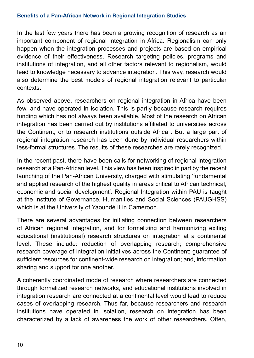#### **Benefits of a Pan-African Network in Regional Integration Studies**

In the last few years there has been a growing recognition of research as an important component of regional integration in Africa. Regionalism can only happen when the integration processes and projects are based on empirical evidence of their effectiveness. Research targeting policies, programs and institutions of integration, and all other factors relevant to regionalism, would lead to knowledge necessary to advance integration. This way, research would also determine the best models of regional integration relevant to particular contexts.

As observed above, researchers on regional integration in Africa have been few, and have operated in isolation. This is partly because research requires funding which has not always been available. Most of the research on African integration has been carried out by institutions affiliated to universities across the Continent, or to research institutions outside Africa . But a large part of regional integration research has been done by individual researchers within less-formal structures. The results of these researches are rarely recognized.

In the recent past, there have been calls for networking of regional integration research at a Pan-African level. This view has been inspired in part by the recent launching of the Pan-African University, charged with stimulating 'fundamental and applied research of the highest quality in areas critical to African technical, economic and social development'. Regional Integration within PAU is taught at the Institute of Governance, Humanities and Social Sciences (PAUGHSS) which is at the University of Yaoundé II in Cameroon.

There are several advantages for initiating connection between researchers of African regional integration, and for formalizing and harmonizing exiting educational (institutional) research structures on integration at a continental level. These include: reduction of overlapping research; comprehensive research coverage of integration initiatives across the Continent; guarantee of sufficient resources for continent-wide research on integration; and, information sharing and support for one another.

A coherently coordinated mode of research where researchers are connected through formalized research networks, and educational institutions involved in integration research are connected at a continental level would lead to reduce cases of overlapping research. Thus far, because researchers and research institutions have operated in isolation, research on integration has been characterized by a lack of awareness the work of other researchers. Often,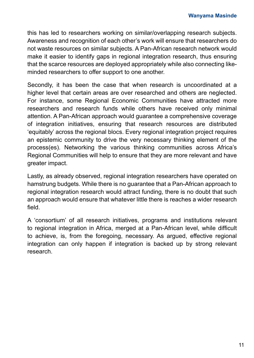this has led to researchers working on similar/overlapping research subjects. Awareness and recognition of each other's work will ensure that researchers do not waste resources on similar subjects. A Pan-African research network would make it easier to identify gaps in regional integration research, thus ensuring that the scarce resources are deployed appropriately while also connecting likeminded researchers to offer support to one another.

Secondly, it has been the case that when research is uncoordinated at a higher level that certain areas are over researched and others are neglected. For instance, some Regional Economic Communities have attracted more researchers and research funds while others have received only minimal attention. A Pan-African approach would guarantee a comprehensive coverage of integration initiatives, ensuring that research resources are distributed 'equitably' across the regional blocs. Every regional integration project requires an epistemic community to drive the very necessary thinking element of the process(es). Networking the various thinking communities across Africa's Regional Communities will help to ensure that they are more relevant and have greater impact.

Lastly, as already observed, regional integration researchers have operated on hamstrung budgets. While there is no guarantee that a Pan-African approach to regional integration research would attract funding, there is no doubt that such an approach would ensure that whatever little there is reaches a wider research field.

A 'consortium' of all research initiatives, programs and institutions relevant to regional integration in Africa, merged at a Pan-African level, while difficult to achieve, is, from the foregoing, necessary. As argued, effective regional integration can only happen if integration is backed up by strong relevant research.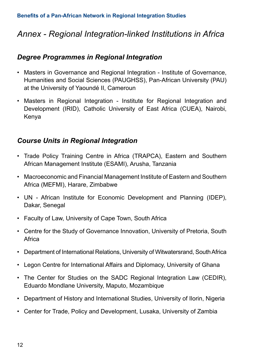### *Annex - Regional Integration-linked Institutions in Africa*

#### *Degree Programmes in Regional Integration*

- Masters in Governance and Regional Integration Institute of Governance, Humanities and Social Sciences (PAUGHSS), Pan-African University (PAU) at the University of Yaoundé II, Cameroun
- Masters in Regional Integration Institute for Regional Integration and Development (IRID), Catholic University of East Africa (CUEA), Nairobi, Kenya

#### *Course Units in Regional Integration*

- Trade Policy Training Centre in Africa (TRAPCA), Eastern and Southern African Management Institute (ESAMI), Arusha, Tanzania
- Macroeconomic and Financial Management Institute of Eastern and Southern Africa (MEFMI), Harare, Zimbabwe
- UN African Institute for Economic Development and Planning (IDEP), Dakar, Senegal
- Faculty of Law, University of Cape Town, South Africa
- Centre for the Study of Governance Innovation, University of Pretoria, South Africa
- Department of International Relations, University of Witwatersrand, South Africa
- Legon Centre for International Affairs and Diplomacy, University of Ghana
- The Center for Studies on the SADC Regional Integration Law (CEDIR), Eduardo Mondlane University, Maputo, Mozambique
- Department of History and International Studies, University of Ilorin, Nigeria
- Center for Trade, Policy and Development, Lusaka, University of Zambia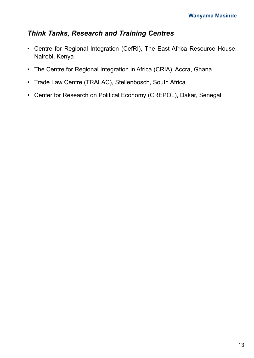#### *Think Tanks, Research and Training Centres*

- Centre for Regional Integration (CefRI), The East Africa Resource House, Nairobi, Kenya
- The Centre for Regional Integration in Africa (CRIA), Accra, Ghana
- Trade Law Centre (TRALAC), Stellenbosch, South Africa
- Center for Research on Political Economy (CREPOL), Dakar, Senegal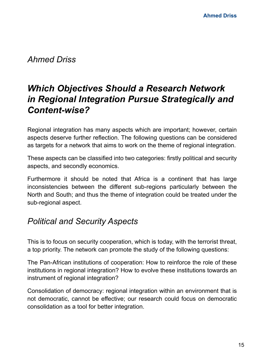*Ahmed Driss*

## *Which Objectives Should a Research Network in Regional Integration Pursue Strategically and Content-wise?*

Regional integration has many aspects which are important; however, certain aspects deserve further reflection. The following questions can be considered as targets for a network that aims to work on the theme of regional integration.

These aspects can be classified into two categories: firstly political and security aspects, and secondly economics.

Furthermore it should be noted that Africa is a continent that has large inconsistencies between the different sub-regions particularly between the North and South; and thus the theme of integration could be treated under the sub-regional aspect.

### *Political and Security Aspects*

This is to focus on security cooperation, which is today, with the terrorist threat, a top priority. The network can promote the study of the following questions:

The Pan-African institutions of cooperation: How to reinforce the role of these institutions in regional integration? How to evolve these institutions towards an instrument of regional integration?

Consolidation of democracy: regional integration within an environment that is not democratic, cannot be effective; our research could focus on democratic consolidation as a tool for better integration.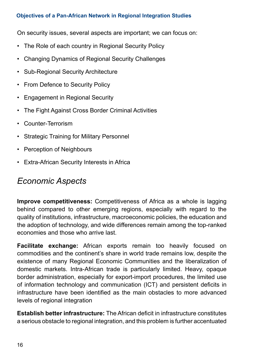#### **Objectives of a Pan-African Network in Regional Integration Studies**

On security issues, several aspects are important; we can focus on:

- The Role of each country in Regional Security Policy
- Changing Dynamics of Regional Security Challenges
- Sub-Regional Security Architecture
- From Defence to Security Policy
- Engagement in Regional Security
- The Fight Against Cross Border Criminal Activities
- Counter-Terrorism
- Strategic Training for Military Personnel
- Perception of Neighbours
- Extra-African Security Interests in Africa

### *Economic Aspects*

**Improve competitiveness:** Competitiveness of Africa as a whole is lagging behind compared to other emerging regions, especially with regard to the quality of institutions, infrastructure, macroeconomic policies, the education and the adoption of technology, and wide differences remain among the top-ranked economies and those who arrive last.

**Facilitate exchange:** African exports remain too heavily focused on commodities and the continent's share in world trade remains low, despite the existence of many Regional Economic Communities and the liberalization of domestic markets. Intra-African trade is particularly limited. Heavy, opaque border administration, especially for export-import procedures, the limited use of information technology and communication (ICT) and persistent deficits in infrastructure have been identified as the main obstacles to more advanced levels of regional integration

**Establish better infrastructure:** The African deficit in infrastructure constitutes a serious obstacle to regional integration, and this problem is further accentuated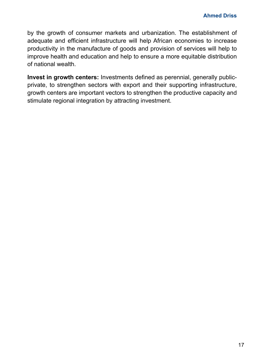by the growth of consumer markets and urbanization. The establishment of adequate and efficient infrastructure will help African economies to increase productivity in the manufacture of goods and provision of services will help to improve health and education and help to ensure a more equitable distribution of national wealth.

**Invest in growth centers:** Investments defined as perennial, generally publicprivate, to strengthen sectors with export and their supporting infrastructure, growth centers are important vectors to strengthen the productive capacity and stimulate regional integration by attracting investment.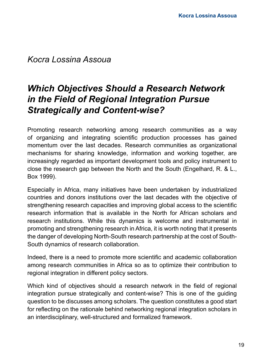*Kocra Lossina Assoua*

# *Which Objectives Should a Research Network in the Field of Regional Integration Pursue Strategically and Content-wise?*

Promoting research networking among research communities as a way of organizing and integrating scientific production processes has gained momentum over the last decades. Research communities as organizational mechanisms for sharing knowledge, information and working together, are increasingly regarded as important development tools and policy instrument to close the research gap between the North and the South (Engelhard, R. & L., Box 1999).

Especially in Africa, many initiatives have been undertaken by industrialized countries and donors institutions over the last decades with the objective of strengthening research capacities and improving global access to the scientific research information that is available in the North for African scholars and research institutions. While this dynamics is welcome and instrumental in promoting and strengthening research in Africa, it is worth noting that it presents the danger of developing North-South research partnership at the cost of South-South dynamics of research collaboration.

Indeed, there is a need to promote more scientific and academic collaboration among research communities in Africa so as to optimize their contribution to regional integration in different policy sectors.

Which kind of objectives should a research network in the field of regional integration pursue strategically and content-wise? This is one of the guiding question to be discusses among scholars. The question constitutes a good start for reflecting on the rationale behind networking regional integration scholars in an interdisciplinary, well-structured and formalized framework.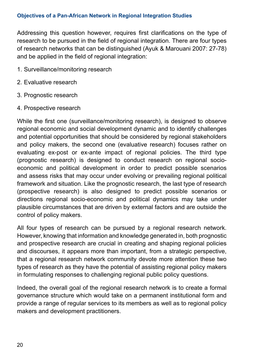#### **Objectives of a Pan-African Network in Regional Integration Studies**

Addressing this question however, requires first clarifications on the type of research to be pursued in the field of regional integration. There are four types of research networks that can be distinguished (Ayuk & Marouani 2007: 27-78) and be applied in the field of regional integration:

- 1. Surveillance/monitoring research
- 2. Evaluative research
- 3. Prognostic research
- 4. Prospective research

While the first one (surveillance/monitoring research), is designed to observe regional economic and social development dynamic and to identify challenges and potential opportunities that should be considered by regional stakeholders and policy makers, the second one (evaluative research) focuses rather on evaluating ex-post or ex-ante impact of regional policies. The third type (prognostic research) is designed to conduct research on regional socioeconomic and political development in order to predict possible scenarios and assess risks that may occur under evolving or prevailing regional political framework and situation. Like the prognostic research, the last type of research (prospective research) is also designed to predict possible scenarios or directions regional socio-economic and political dynamics may take under plausible circumstances that are driven by external factors and are outside the control of policy makers.

All four types of research can be pursued by a regional research network. However, knowing that information and knowledge generated in, both prognostic and prospective research are crucial in creating and shaping regional policies and discourses, it appears more than important, from a strategic perspective, that a regional research network community devote more attention these two types of research as they have the potential of assisting regional policy makers in formulating responses to challenging regional public policy questions.

Indeed, the overall goal of the regional research network is to create a formal governance structure which would take on a permanent institutional form and provide a range of regular services to its members as well as to regional policy makers and development practitioners.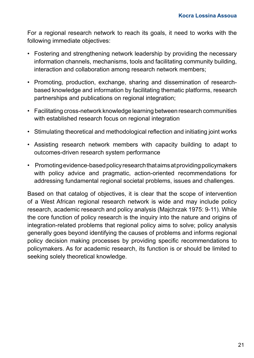For a regional research network to reach its goals, it need to works with the following immediate objectives:

- Fostering and strengthening network leadership by providing the necessary information channels, mechanisms, tools and facilitating community building, interaction and collaboration among research network members;
- Promoting, production, exchange, sharing and dissemination of researchbased knowledge and information by facilitating thematic platforms, research partnerships and publications on regional integration;
- Facilitating cross-network knowledge learning between research communities with established research focus on regional integration
- Stimulating theoretical and methodological reflection and initiating joint works
- Assisting research network members with capacity building to adapt to outcomes-driven research system performance
- Promoting evidence-based policy research that aims at providing policymakers with policy advice and pragmatic, action-oriented recommendations for addressing fundamental regional societal problems, issues and challenges.

Based on that catalog of objectives, it is clear that the scope of intervention of a West African regional research network is wide and may include policy research, academic research and policy analysis (Majchrzak 1975: 9-11). While the core function of policy research is the inquiry into the nature and origins of integration-related problems that regional policy aims to solve; policy analysis generally goes beyond identifying the causes of problems and informs regional policy decision making processes by providing specific recommendations to policymakers. As for academic research, its function is or should be limited to seeking solely theoretical knowledge.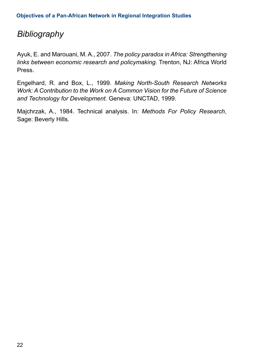### *Bibliography*

Ayuk, E. and Marouani, M. A., 2007. *The policy paradox in Africa: Strengthening links between economic research and policymaking.* Trenton, NJ: Africa World Press.

Engelhard, R. and Box, L., 1999. *Making North-South Research Networks Work: A Contribution to the Work on A Common Vision for the Future of Science and Technology for Development.* Geneva: UNCTAD, 1999.

Majchrzak, A., 1984. Technical analysis. In: *Methods For Policy Research*, Sage: Beverly Hills.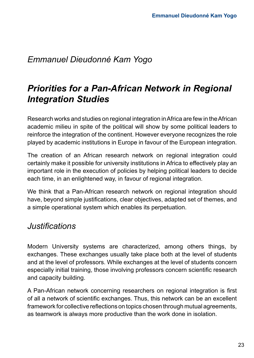### *Emmanuel Dieudonné Kam Yogo*

# *Priorities for a Pan-African Network in Regional Integration Studies*

Research works and studies on regional integration in Africa are few in the African academic milieu in spite of the political will show by some political leaders to reinforce the integration of the continent. However everyone recognizes the role played by academic institutions in Europe in favour of the European integration.

The creation of an African research network on regional integration could certainly make it possible for university institutions in Africa to effectively play an important role in the execution of policies by helping political leaders to decide each time, in an enlightened way, in favour of regional integration.

We think that a Pan-African research network on regional integration should have, beyond simple justifications, clear objectives, adapted set of themes, and a simple operational system which enables its perpetuation.

### *Justifications*

Modern University systems are characterized, among others things, by exchanges. These exchanges usually take place both at the level of students and at the level of professors. While exchanges at the level of students concern especially initial training, those involving professors concern scientific research and capacity building.

A Pan-African network concerning researchers on regional integration is first of all a network of scientific exchanges. Thus, this network can be an excellent framework for collective reflections on topics chosen through mutual agreements, as teamwork is always more productive than the work done in isolation.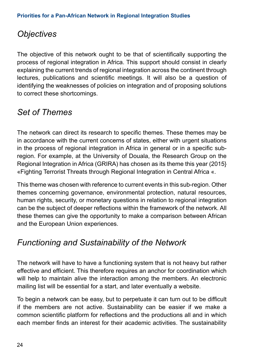## *Objectives*

The objective of this network ought to be that of scientifically supporting the process of regional integration in Africa. This support should consist in clearly explaining the current trends of regional integration across the continent through lectures, publications and scientific meetings. It will also be a question of identifying the weaknesses of policies on integration and of proposing solutions to correct these shortcomings.

### *Set of Themes*

The network can direct its research to specific themes. These themes may be in accordance with the current concerns of states, either with urgent situations in the process of regional integration in Africa in general or in a specific subregion. For example, at the University of Douala, the Research Group on the Regional Integration in Africa (GRIRA) has chosen as its theme this year (2015} «Fighting Terrorist Threats through Regional Integration in Central Africa «.

This theme was chosen with reference to current events in this sub-region. Other themes concerning governance, environmental protection, natural resources, human rights, security, or monetary questions in relation to regional integration can be the subject of deeper reflections within the framework of the network. All these themes can give the opportunity to make a comparison between African and the European Union experiences.

### *Functioning and Sustainability of the Network*

The network will have to have a functioning system that is not heavy but rather effective and efficient. This therefore requires an anchor for coordination which will help to maintain alive the interaction among the members. An electronic mailing list will be essential for a start, and later eventually a website.

To begin a network can be easy, but to perpetuate it can turn out to be difficult if the members are not active. Sustainability can be easier if we make a common scientific platform for reflections and the productions all and in which each member finds an interest for their academic activities. The sustainability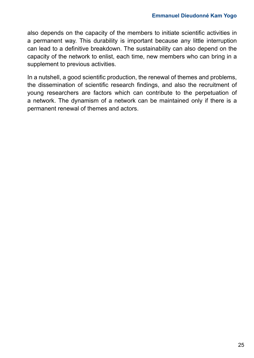also depends on the capacity of the members to initiate scientific activities in a permanent way. This durability is important because any little interruption can lead to a definitive breakdown. The sustainability can also depend on the capacity of the network to enlist, each time, new members who can bring in a supplement to previous activities.

In a nutshell, a good scientific production, the renewal of themes and problems, the dissemination of scientific research findings, and also the recruitment of young researchers are factors which can contribute to the perpetuation of a network. The dynamism of a network can be maintained only if there is a permanent renewal of themes and actors.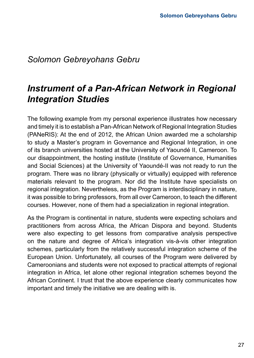### *Solomon Gebreyohans Gebru*

# *Instrument of a Pan-African Network in Regional Integration Studies*

The following example from my personal experience illustrates how necessary and timely it is to establish a Pan-African Network of Regional Integration Studies (PANeRIS): At the end of 2012, the African Union awarded me a scholarship to study a Master's program in Governance and Regional Integration, in one of its branch universities hosted at the University of Yaoundé II, Cameroon. To our disappointment, the hosting institute (Institute of Governance, Humanities and Social Sciences) at the University of Yaoundé-II was not ready to run the program. There was no library (physically or virtually) equipped with reference materials relevant to the program. Nor did the Institute have specialists on regional integration. Nevertheless, as the Program is interdisciplinary in nature, it was possible to bring professors, from all over Cameroon, to teach the different courses. However, none of them had a specialization in regional integration.

As the Program is continental in nature, students were expecting scholars and practitioners from across Africa, the African Dispora and beyond. Students were also expecting to get lessons from comparative analysis perspective on the nature and degree of Africa's integration vis-à-vis other integration schemes, particularly from the relatively successful integration scheme of the European Union. Unfortunately, all courses of the Program were delivered by Cameroonians and students were not exposed to practical attempts of regional integration in Africa, let alone other regional integration schemes beyond the African Continent. I trust that the above experience clearly communicates how important and timely the initiative we are dealing with is.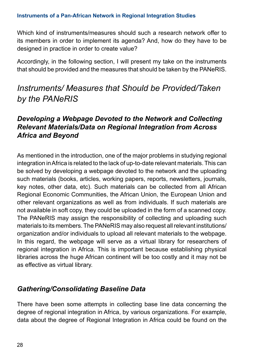Which kind of instruments/measures should such a research network offer to its members in order to implement its agenda? And, how do they have to be designed in practice in order to create value?

Accordingly, in the following section, I will present my take on the instruments that should be provided and the measures that should be taken by the PANeRIS.

### *Instruments/ Measures that Should be Provided/Taken by the PANeRIS*

#### *Developing a Webpage Devoted to the Network and Collecting Relevant Materials/Data on Regional Integration from Across Africa and Beyond*

As mentioned in the introduction, one of the major problems in studying regional integration in Africa is related to the lack of up-to-date relevant materials. This can be solved by developing a webpage devoted to the network and the uploading such materials (books, articles, working papers, reports, newsletters, journals, key notes, other data, etc). Such materials can be collected from all African Regional Economic Communities, the African Union, the European Union and other relevant organizations as well as from individuals. If such materials are not available in soft copy, they could be uploaded in the form of a scanned copy. The PANeRIS may assign the responsibility of collecting and uploading such materials to its members. The PANeRIS may also request all relevant institutions/ organization and/or individuals to upload all relevant materials to the webpage. In this regard, the webpage will serve as a virtual library for researchers of regional integration in Africa. This is important because establishing physical libraries across the huge African continent will be too costly and it may not be as effective as virtual library.

#### *Gathering/Consolidating Baseline Data*

There have been some attempts in collecting base line data concerning the degree of regional integration in Africa, by various organizations. For example, data about the degree of Regional Integration in Africa could be found on the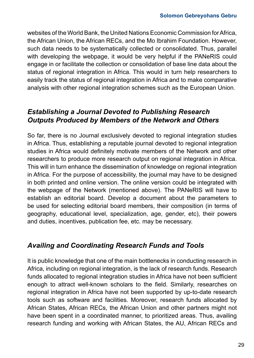websites of the World Bank, the United Nations Economic Commission for Africa, the African Union, the African RECs, and the Mo Ibrahim Foundation. However, such data needs to be systematically collected or consolidated. Thus, parallel with developing the webpage, it would be very helpful if the PANeRIS could engage in or facilitate the collection or consolidation of base line data about the status of regional integration in Africa. This would in turn help researchers to easily track the status of regional integration in Africa and to make comparative analysis with other regional integration schemes such as the European Union.

#### *Establishing a Journal Devoted to Publishing Research Outputs Produced by Members of the Network and Others*

So far, there is no Journal exclusively devoted to regional integration studies in Africa. Thus, establishing a reputable journal devoted to regional integration studies in Africa would definitely motivate members of the Network and other researchers to produce more research output on regional integration in Africa. This will in turn enhance the dissemination of knowledge on regional integration in Africa. For the purpose of accessibility, the journal may have to be designed in both printed and online version. The online version could be integrated with the webpage of the Network (mentioned above). The PANeRIS will have to establish an editorial board. Develop a document about the parameters to be used for selecting editorial board members, their composition (in terms of geography, educational level, specialization, age, gender, etc), their powers and duties, incentives, publication fee, etc. may be necessary.

#### *Availing and Coordinating Research Funds and Tools*

It is public knowledge that one of the main bottlenecks in conducting research in Africa, including on regional integration, is the lack of research funds. Research funds allocated to regional integration studies in Africa have not been sufficient enough to attract well-known scholars to the field. Similarly, researches on regional integration in Africa have not been supported by up-to-date research tools such as software and facilities. Moreover, research funds allocated by African States, African RECs, the African Union and other partners might not have been spent in a coordinated manner, to prioritized areas. Thus, availing research funding and working with African States, the AU, African RECs and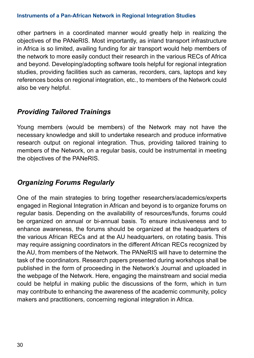#### **Instruments of a Pan-African Network in Regional Integration Studies**

other partners in a coordinated manner would greatly help in realizing the objectives of the PANeRIS. Most importantly, as inland transport infrastructure in Africa is so limited, availing funding for air transport would help members of the network to more easily conduct their research in the various RECs of Africa and beyond. Developing/adopting software tools helpful for regional integration studies, providing facilities such as cameras, recorders, cars, laptops and key references books on regional integration, etc., to members of the Network could also be very helpful.

#### *Providing Tailored Trainings*

Young members (would be members) of the Network may not have the necessary knowledge and skill to undertake research and produce informative research output on regional integration. Thus, providing tailored training to members of the Network, on a regular basis, could be instrumental in meeting the objectives of the PANeRIS.

#### *Organizing Forums Regularly*

One of the main strategies to bring together researchers/academics/experts engaged in Regional Integration in African and beyond is to organize forums on regular basis. Depending on the availability of resources/funds, forums could be organized on annual or bi-annual basis. To ensure inclusiveness and to enhance awareness, the forums should be organized at the headquarters of the various African RECs and at the AU headquarters, on rotating basis. This may require assigning coordinators in the different African RECs recognized by the AU, from members of the Network. The PANeRIS will have to determine the task of the coordinators. Research papers presented during workshops shall be published in the form of proceeding in the Network's Journal and uploaded in the webpage of the Network. Here, engaging the mainstream and social media could be helpful in making public the discussions of the form, which in turn may contribute to enhancing the awareness of the academic community, policy makers and practitioners, concerning regional integration in Africa.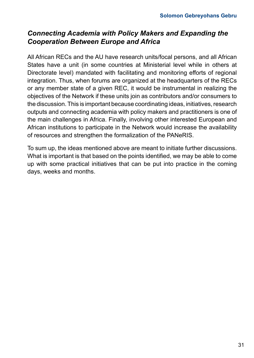#### *Connecting Academia with Policy Makers and Expanding the Cooperation Between Europe and Africa*

All African RECs and the AU have research units/focal persons, and all African States have a unit (in some countries at Ministerial level while in others at Directorate level) mandated with facilitating and monitoring efforts of regional integration. Thus, when forums are organized at the headquarters of the RECs or any member state of a given REC, it would be instrumental in realizing the objectives of the Network if these units join as contributors and/or consumers to the discussion. This is important because coordinating ideas, initiatives, research outputs and connecting academia with policy makers and practitioners is one of the main challenges in Africa. Finally, involving other interested European and African institutions to participate in the Network would increase the availability of resources and strengthen the formalization of the PANeRIS.

To sum up, the ideas mentioned above are meant to initiate further discussions. What is important is that based on the points identified, we may be able to come up with some practical initiatives that can be put into practice in the coming days, weeks and months.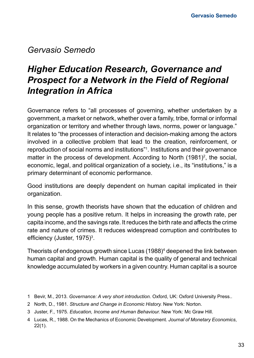### *Gervasio Semedo*

# *Higher Education Research, Governance and Prospect for a Network in the Field of Regional Integration in Africa*

Governance refers to "all processes of governing, whether undertaken by a government, a market or network, whether over a family, tribe, formal or informal organization or territory and whether through laws, norms, power or language." It relates to "the processes of interaction and decision-making among the actors involved in a collective problem that lead to the creation, reinforcement, or reproduction of social norms and institutions"1 . Institutions and their governance matter in the process of development. According to North (1981)<sup>2</sup>, the social, economic, legal, and political organization of a society, i.e., its "institutions," is a primary determinant of economic performance.

Good institutions are deeply dependent on human capital implicated in their organization.

In this sense, growth theorists have shown that the education of children and young people has a positive return. It helps in increasing the growth rate, per capita income, and the savings rate. It reduces the birth rate and affects the crime rate and nature of crimes. It reduces widespread corruption and contributes to efficiency (Juster, 1975)<sup>3</sup>.

Theorists of endogenous growth since Lucas (1988)<sup>4</sup> deepened the link between human capital and growth. Human capital is the quality of general and technical knowledge accumulated by workers in a given country. Human capital is a source

<sup>1</sup> Bevir, M., 2013. *Governance: A very short introduction.* Oxford, UK: Oxford University Press..

<sup>2</sup> North, D., 1981. *Structure and Change in Economic History.* New York: Norton.

<sup>3</sup> Juster, F., 1975. *Education, Income and Human Behaviour.* New York: Mc Graw Hill.

<sup>4</sup> Lucas, R., 1988. On the Mechanics of Economic Development. *Journal of Monetary Economics*, 22(1).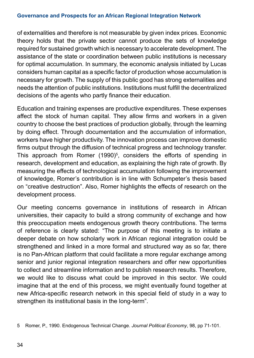#### **Governance and Prospects for an African Regional Integration Network**

of externalities and therefore is not measurable by given index prices. Economic theory holds that the private sector cannot produce the sets of knowledge required for sustained growth which is necessary to accelerate development. The assistance of the state or coordination between public institutions is necessary for optimal accumulation. In summary, the economic analysis initiated by Lucas considers human capital as a specific factor of production whose accumulation is necessary for growth. The supply of this public good has strong externalities and needs the attention of public institutions. Institutions must fulfill the decentralized decisions of the agents who partly finance their education.

Education and training expenses are productive expenditures. These expenses affect the stock of human capital. They allow firms and workers in a given country to choose the best practices of production globally, through the learning by doing effect. Through documentation and the accumulation of information, workers have higher productivity. The innovation process can improve domestic firms output through the diffusion of technical progress and technology transfer. This approach from Romer (1990)<sup>5</sup>, considers the efforts of spending in research, development and education, as explaining the high rate of growth. By measuring the effects of technological accumulation following the improvement of knowledge, Romer's contribution is in line with Schumpeter's thesis based on "creative destruction". Also, Romer highlights the effects of research on the development process.

Our meeting concerns governance in institutions of research in African universities, their capacity to build a strong community of exchange and how this preoccupation meets endogenous growth theory contributions. The terms of reference is clearly stated: "The purpose of this meeting is to initiate a deeper debate on how scholarly work in African regional integration could be strengthened and linked in a more formal and structured way as so far, there is no Pan-African platform that could facilitate a more regular exchange among senior and junior regional integration researchers and offer new opportunities to collect and streamline information and to publish research results. Therefore, we would like to discuss what could be improved in this sector. We could imagine that at the end of this process, we might eventually found together at new Africa-specific research network in this special field of study in a way to strengthen its institutional basis in the long-term".

5 Romer, P., 1990. Endogenous Technical Change. *Journal Political Economy*, 98, pp 71-101.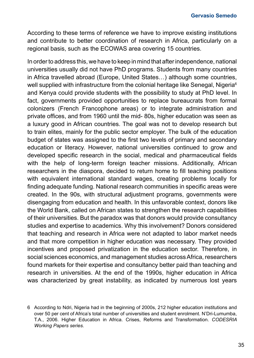According to these terms of reference we have to improve existing institutions and contribute to better coordination of research in Africa, particularly on a regional basis, such as the ECOWAS area covering 15 countries.

In order to address this, we have to keep in mind that after independence, national universities usually did not have PhD programs. Students from many countries in Africa travelled abroad (Europe, United States…) although some countries, well supplied with infrastructure from the colonial heritage like Senegal, Nigeria<sup>6</sup> and Kenya could provide students with the possibility to study at PhD level. In fact, governments provided opportunities to replace bureaucrats from formal colonizers (French Francophone areas) or to integrate administration and private offices, and from 1960 until the mid- 80s, higher education was seen as a luxury good in African countries. The goal was not to develop research but to train elites, mainly for the public sector employer. The bulk of the education budget of states was assigned to the first two levels of primary and secondary education or literacy. However, national universities continued to grow and developed specific research in the social, medical and pharmaceutical fields with the help of long-term foreign teacher missions. Additionally, African researchers in the diaspora, decided to return home to fill teaching positions with equivalent international standard wages, creating problems locally for finding adequate funding. National research communities in specific areas were created. In the 90s, with structural adjustment programs, governments were disengaging from education and health. In this unfavorable context, donors like the World Bank, called on African states to strengthen the research capabilities of their universities. But the paradox was that donors would provide consultancy studies and expertise to academics. Why this involvement? Donors considered that teaching and research in Africa were not adapted to labor market needs and that more competition in higher education was necessary. They provided incentives and proposed privatization in the education sector. Therefore, in social sciences economics, and management studies across Africa, researchers found markets for their expertise and consultancy better paid than teaching and research in universities. At the end of the 1990s, higher education in Africa was characterized by great instability, as indicated by numerous lost years

<sup>6</sup> According to Ndri, Nigeria had in the beginning of 2000s, 212 higher education institutions and over 50 per cent of Africa's total number of universities and student enrolment. N'Dri-Lumumba, T.A., 2006. Higher Education in Africa. Crises, Reforms and Transformation. *CODESRIA Working Papers series.*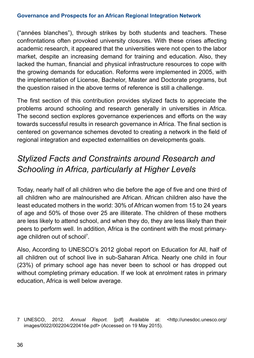("années blanches"), through strikes by both students and teachers. These confrontations often provoked university closures. With these crises affecting academic research, it appeared that the universities were not open to the labor market, despite an increasing demand for training and education. Also, they lacked the human, financial and physical infrastructure resources to cope with the growing demands for education. Reforms were implemented in 2005, with the implementation of License, Bachelor, Master and Doctorate programs, but the question raised in the above terms of reference is still a challenge.

The first section of this contribution provides stylized facts to appreciate the problems around schooling and research generally in universities in Africa. The second section explores governance experiences and efforts on the way towards successful results in research governance in Africa. The final section is centered on governance schemes devoted to creating a network in the field of regional integration and expected externalities on developments goals.

# *Stylized Facts and Constraints around Research and Schooling in Africa, particularly at Higher Levels*

Today, nearly half of all children who die before the age of five and one third of all children who are malnourished are African. African children also have the least educated mothers in the world: 30% of African women from 15 to 24 years of age and 50% of those over 25 are illiterate. The children of these mothers are less likely to attend school, and when they do, they are less likely than their peers to perform well. In addition, Africa is the continent with the most primaryage children out of school<sup>7</sup> .

Also, According to UNESCO's 2012 global report on Education for All, half of all children out of school live in sub-Saharan Africa. Nearly one child in four (23%) of primary school age has never been to school or has dropped out without completing primary education. If we look at enrolment rates in primary education, Africa is well below average.

<sup>7</sup> UNESCO, 2012. *Annual Report.* [pdf] Available at: <http://unesdoc.unesco.org/ images/0022/002204/220416e.pdf> (Accessed on 19 May 2015).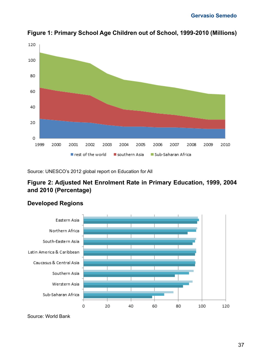

**Figure 1: Primary School Age Children out of School, 1999-2010 (Millions)**

Source: UNESCO's 2012 global report on Education for All

## **Figure 2: Adjusted Net Enrolment Rate in Primary Education, 1999, 2004 and 2010 (Percentage)**



#### **Developed Regions**

Source: World Bank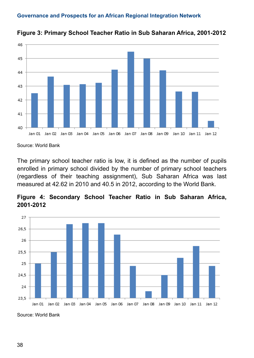

**Figure 3: Primary School Teacher Ratio in Sub Saharan Africa, 2001-2012**

The primary school teacher ratio is low, it is defined as the number of pupils enrolled in primary school divided by the number of primary school teachers (regardless of their teaching assignment), Sub Saharan Africa was last measured at 42.62 in 2010 and 40.5 in 2012, according to the World Bank.





Source: World Bank

Source: World Bank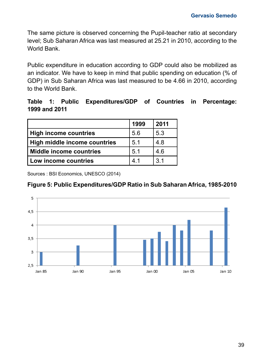The same picture is observed concerning the Pupil-teacher ratio at secondary level; Sub Saharan Africa was last measured at 25.21 in 2010, according to the World Bank.

Public expenditure in education according to GDP could also be mobilized as an indicator. We have to keep in mind that public spending on education (% of GDP) in Sub Saharan Africa was last measured to be 4.66 in 2010, according to the World Bank.

#### **Table 1: Public Expenditures/GDP of Countries in Percentage: 1999 and 2011**

|                              | 1999 | 2011            |
|------------------------------|------|-----------------|
| High income countries        | 5.6  | 5.3             |
| High middle income countries | 5.1  | 4.8             |
| Middle income countries      | 5.1  | 4.6             |
| Low income countries         | 41   | $\overline{3}1$ |

Sources : BSI Economics, UNESCO (2014)

## **Figure 5: Public Expenditures/GDP Ratio in Sub Saharan Africa, 1985-2010**

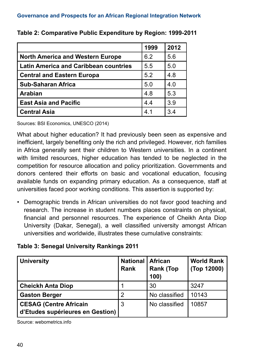|                                              | 1999 | 2012 |
|----------------------------------------------|------|------|
| <b>North America and Western Europe</b>      | 6.2  | 5.6  |
| <b>Latin America and Caribbean countries</b> | 5.5  | 5.0  |
| <b>Central and Eastern Europa</b>            | 5.2  | 4.8  |
| <b>Sub-Saharan Africa</b>                    | 5.0  | 4.0  |
| <b>Arabian</b>                               | 4.8  | 5.3  |
| <b>East Asia and Pacific</b>                 | 4.4  | 3.9  |
| <b>Central Asia</b>                          | 4.1  | 3.4  |

#### **Table 2: Comparative Public Expenditure by Region: 1999-2011**

Sources: BSI Economics, UNESCO (2014)

What about higher education? It had previously been seen as expensive and inefficient, largely benefiting only the rich and privileged. However, rich families in Africa generally sent their children to Western universities. In a continent with limited resources, higher education has tended to be neglected in the competition for resource allocation and policy prioritization. Governments and donors centered their efforts on basic and vocational education, focusing available funds on expanding primary education. As a consequence, staff at universities faced poor working conditions. This assertion is supported by:

• Demographic trends in African universities do not favor good teaching and research. The increase in student numbers places constraints on physical, financial and personnel resources. The experience of Cheikh Anta Diop University (Dakar, Senegal), a well classified university amongst African universities and worldwide, illustrates these cumulative constraints:

#### **Table 3: Senegal University Rankings 2011**

| <b>University</b>                                                 | <b>National</b><br>Rank | <b>African</b><br><b>Rank (Top</b><br>100) | <b>World Rank</b><br>(Top 12000) |
|-------------------------------------------------------------------|-------------------------|--------------------------------------------|----------------------------------|
| <b>Cheickh Anta Diop</b>                                          |                         | 30                                         | 3247                             |
| <b>Gaston Berger</b>                                              | 2                       | No classified                              | 10143                            |
| <b>CESAG (Centre Africain</b><br>d'Etudes supérieures en Gestion) | 3                       | No classified                              | 10857                            |

Source: webometrics.info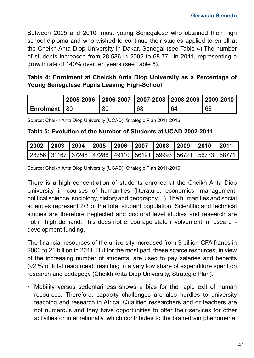Between 2005 and 2010, most young Senegalese who obtained their high school diploma and who wished to continue their studies applied to enroll at the Cheikh Anta Diop University in Dakar, Senegal (see Table 4).The number of students increased from 28,586 in 2002 to 68,771 in 2011, representing a growth rate of 140% over ten years (see Table 5).

#### **Table 4: Enrolment at Cheickh Anta Diop University as a Percentage of Young Senegalese Pupils Leaving High-School**

|                         | 2005-2006   2006-2007   2007-2008   2008-2009   2009-2010 |    |    |    |    |
|-------------------------|-----------------------------------------------------------|----|----|----|----|
| l Enrolment <i>\</i> 80 |                                                           | 80 | 68 | 64 | 66 |

Source: Cheikh Anta Diop University (UCAD). Strategic Plan 2011-2016

#### **Table 5: Evolution of the Number of Students at UCAD 2002-2011**

|  |  |  |  | 2002  2003  2004  2005  2006  2007  2008  2009  2010  2011                    |  |
|--|--|--|--|-------------------------------------------------------------------------------|--|
|  |  |  |  | 28756   31167   37248   47286   49110   56191   59993   56721   56773   68771 |  |

Source: Cheikh Anta Diop University (UCAD). Strategic Plan 2011-2016

There is a high concentration of students enrolled at the Cheikh Anta Diop University in courses of humanities (literature, economics, management, political science, sociology, history and geography…). The humanities and social sciences represent 2/3 of the total student population. Scientific and technical studies are therefore neglected and doctoral level studies and research are not in high demand. This does not encourage state involvement in researchdevelopment funding.

The financial resources of the university increased from 9 billion CFA francs in 2000 to 21 billion in 2011. But for the most part, these scarce resources, in view of the increasing number of students, are used to pay salaries and benefits (92 % of total resources); resulting in a very low share of expenditure spent on research and pedagogy (Cheikh Anta Diop University, Strategic Plan).

• Mobility versus sedentariness shows a bias for the rapid exit of human resources. Therefore, capacity challenges are also hurdles to university teaching and research in Africa. Qualified researchers and or teachers are not numerous and they have opportunities to offer their services for other activities or internationally, which contributes to the brain-drain phenomena.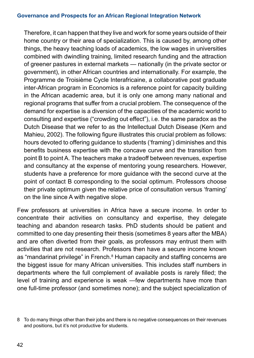Therefore, it can happen that they live and work for some years outside of their home country or their area of specialization. This is caused by, among other things, the heavy teaching loads of academics, the low wages in universities combined with dwindling training, limited research funding and the attraction of greener pastures in external markets — nationally (in the private sector or government), in other African countries and internationally. For example, the Programme de Troisième Cycle Interafricaine, a collaborative post graduate inter-African program in Economics is a reference point for capacity building in the African academic area, but it is only one among many national and regional programs that suffer from a crucial problem. The consequence of the demand for expertise is a diversion of the capacities of the academic world to consulting and expertise ("crowding out effect"), i.e. the same paradox as the Dutch Disease that we refer to as the Intellectual Dutch Disease (Kern and Mahieu, 2002). The following figure illustrates this crucial problem as follows: hours devoted to offering guidance to students ('framing') diminishes and this benefits business expertise with the concave curve and the transition from point B to point A. The teachers make a tradeoff between revenues, expertise and consultancy at the expense of mentoring young researchers. However, students have a preference for more guidance with the second curve at the point of contact B corresponding to the social optimum. Professors choose their private optimum given the relative price of consultation versus 'framing' on the line since A with negative slope.

Few professors at universities in Africa have a secure income. In order to concentrate their activities on consultancy and expertise, they delegate teaching and abandon research tasks. PhD students should be patient and committed to one day presenting their thesis (sometimes 8 years after the MBA) and are often diverted from their goals, as professors may entrust them with activities that are not research. Professors then have a secure income known as "mandarinat privilege" in French.<sup>8</sup> Human capacity and staffing concerns are the biggest issue for many African universities. This includes staff numbers in departments where the full complement of available posts is rarely filled; the level of training and experience is weak —few departments have more than one full-time professor (and sometimes none); and the subject specialization of

<sup>8</sup> To do many things other than their jobs and there is no negative consequences on their revenues and positions, but it's not productive for students.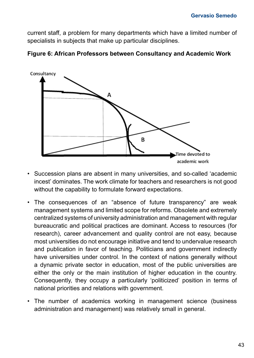current staff, a problem for many departments which have a limited number of specialists in subjects that make up particular disciplines.



**Figure 6: African Professors between Consultancy and Academic Work**

- Succession plans are absent in many universities, and so-called 'academic incest' dominates. The work climate for teachers and researchers is not good without the capability to formulate forward expectations.
- The consequences of an "absence of future transparency" are weak management systems and limited scope for reforms. Obsolete and extremely centralized systems of university administration and management with regular bureaucratic and political practices are dominant. Access to resources (for research), career advancement and quality control are not easy, because most universities do not encourage initiative and tend to undervalue research and publication in favor of teaching. Politicians and government indirectly have universities under control. In the context of nations generally without a dynamic private sector in education, most of the public universities are either the only or the main institution of higher education in the country. Consequently, they occupy a particularly 'politicized' position in terms of national priorities and relations with government.
- The number of academics working in management science (business administration and management) was relatively small in general.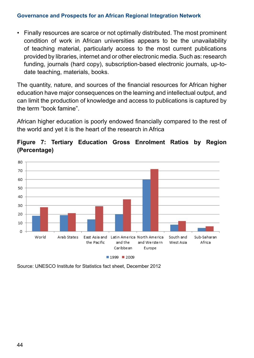• Finally resources are scarce or not optimally distributed. The most prominent condition of work in African universities appears to be the unavailability of teaching material, particularly access to the most current publications provided by libraries, internet and or other electronic media. Such as: research funding, journals (hard copy), subscription-based electronic journals, up-todate teaching, materials, books.

The quantity, nature, and sources of the financial resources for African higher education have major consequences on the learning and intellectual output, and can limit the production of knowledge and access to publications is captured by the term "book famine".

African higher education is poorly endowed financially compared to the rest of the world and yet it is the heart of the research in Africa





Source: UNESCO Institute for Statistics fact sheet, December 2012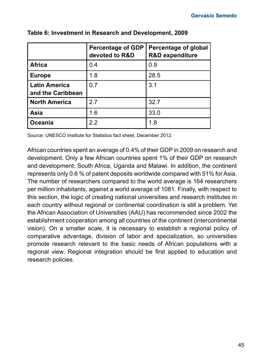|                                           | <b>Percentage of GDP</b><br>devoted to R&D | Percentage of global<br><b>R&amp;D</b> expenditure |
|-------------------------------------------|--------------------------------------------|----------------------------------------------------|
| <b>Africa</b>                             | 0.4                                        | 0.9                                                |
| <b>Europe</b>                             | 1.8                                        | 28.5                                               |
| <b>Latin America</b><br>and the Caribbean | 0.7                                        | 3.1                                                |
| <b>North America</b>                      | 27                                         | 32.7                                               |
| Asia                                      | 1.6                                        | 33.0                                               |
| Oceania                                   | 2.2                                        | 1.8                                                |

#### **Table 6: Investment in Research and Development, 2009**

Source: UNESCO Institute for Statistics fact sheet, December 2012.

African countries spent an average of 0.4% of their GDP in 2009 on research and development. Only a few African countries spent 1% of their GDP on research and development: South Africa, Uganda and Malawi. In addition, the continent represents only 0.6 % of patent deposits worldwide compared with 51% for Asia. The number of researchers compared to the world average is 164 researchers per million inhabitants, against a world average of 1081. Finally, with respect to this section, the logic of creating national universities and research institutes in each country without regional or continental coordination is still a problem. Yet the African Association of Universities (AAU) has recommended since 2002 the establishment cooperation among all countries of the continent (intercontinental vision). On a smaller scale, it is necessary to establish a regional policy of comparative advantage, division of labor and specialization, so universities promote research relevant to the basic needs of African populations with a regional view. Regional integration should be first applied to education and research policies.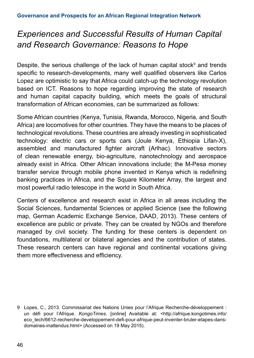# *Experiences and Successful Results of Human Capital and Research Governance: Reasons to Hope*

Despite, the serious challenge of the lack of human capital stock<sup>9</sup> and trends specific to research-developments, many well qualified observers like Carlos Lopez are optimistic to say that Africa could catch-up the technology revolution based on ICT. Reasons to hope regarding improving the state of research and human capital capacity building, which meets the goals of structural transformation of African economies, can be summarized as follows:

Some African countries (Kenya, Tunisia, Rwanda, Morocco, Nigeria, and South Africa) are locomotives for other countries. They have the means to be places of technological revolutions. These countries are already investing in sophisticated technology: electric cars or sports cars (Joule Kenya, Ethiopia Lifan-X), assembled and manufactured fighter aircraft (Arlhac). Innovative sectors of clean renewable energy, bio-agriculture, nanotechnology and aerospace already exist in Africa. Other African innovations include; the M-Pesa money transfer service through mobile phone invented in Kenya which is redefining banking practices in Africa, and the Square Kilometer Array, the largest and most powerful radio telescope in the world in South Africa.

Centers of excellence and research exist in Africa in all areas including the Social Sciences, fundamental Sciences or applied Science (see the following map, German Academic Exchange Service, DAAD, 2013). These centers of excellence are public or private. They can be created by NGOs and therefore managed by civil society. The funding for these centers is dependent on foundations, multilateral or bilateral agencies and the contribution of states. These research centers can have regional and continental vocations giving them more effectiveness and efficiency.

<sup>9</sup> Lopes, C., 2013. Commissariat des Nations Unies pour l'Afrique Recherche-développement : un défi pour l'Afrique. *KongoTimes*, [online] Available at: <http://afrique.kongotimes.info/ eco\_tech/6612-recherche-developpement-defi-pour-afrique-peut-inventer-bruler-etapes-dansdomaines-inattendus.html> (Accessed on 19 May 2015).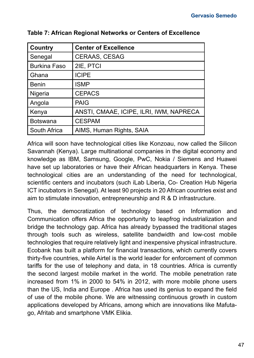| <b>Country</b>      | <b>Center of Excellence</b>             |
|---------------------|-----------------------------------------|
| Senegal             | <b>CERAAS, CESAG</b>                    |
| <b>Burkina Faso</b> | 2IE, PTCI                               |
| Ghana               | <b>ICIPE</b>                            |
| Benin               | ISMP                                    |
| Nigeria             | <b>CEPACS</b>                           |
| Angola              | <b>PAIG</b>                             |
| Kenya               | ANSTI, CMAAE, ICIPE, ILRI, IWM, NAPRECA |
| Botswana            | <b>CESPAM</b>                           |
| South Africa        | AIMS, Human Rights, SAIA                |

**Table 7: African Regional Networks or Centers of Excellence**

Africa will soon have technological cities like Konzoau, now called the Silicon Savannah (Kenya). Large multinational companies in the digital economy and knowledge as IBM, Samsung, Google, PwC, Nokia / Siemens and Huawei have set up laboratories or have their African headquarters in Kenya. These technological cities are an understanding of the need for technological, scientific centers and incubators (such iLab Liberia, Co- Creation Hub Nigeria ICT incubators in Senegal). At least 90 projects in 20 African countries exist and aim to stimulate innovation, entrepreneurship and R & D infrastructure.

Thus, the democratization of technology based on Information and Communication offers Africa the opportunity to leapfrog industrialization and bridge the technology gap. Africa has already bypassed the traditional stages through tools such as wireless, satellite bandwidth and low-cost mobile technologies that require relatively light and inexpensive physical infrastructure. Ecobank has built a platform for financial transactions, which currently covers thirty-five countries, while Airtel is the world leader for enforcement of common tariffs for the use of telephony and data, in 18 countries. Africa is currently the second largest mobile market in the world. The mobile penetration rate increased from 1% in 2000 to 54% in 2012, with more mobile phone users than the US, India and Europe . Africa has used its genius to expand the field of use of the mobile phone. We are witnessing continuous growth in custom applications developed by Africans, among which are innovations like Mafutago, Afritab and smartphone VMK Elikia.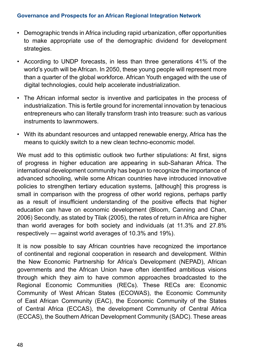- Demographic trends in Africa including rapid urbanization, offer opportunities to make appropriate use of the demographic dividend for development strategies.
- According to UNDP forecasts, in less than three generations 41% of the world's youth will be African. In 2050, these young people will represent more than a quarter of the global workforce. African Youth engaged with the use of digital technologies, could help accelerate industrialization.
- The African informal sector is inventive and participates in the process of industrialization. This is fertile ground for incremental innovation by tenacious entrepreneurs who can literally transform trash into treasure: such as various instruments to lawnmowers.
- With its abundant resources and untapped renewable energy, Africa has the means to quickly switch to a new clean techno-economic model.

We must add to this optimistic outlook two further stipulations: At first, signs of progress in higher education are appearing in sub-Saharan Africa. The international development community has begun to recognize the importance of advanced schooling, while some African countries have introduced innovative policies to strengthen tertiary education systems, [although] this progress is small in comparison with the progress of other world regions, perhaps partly as a result of insufficient understanding of the positive effects that higher education can have on economic development (Bloom, Canning and Chan, 2006) Secondly, as stated by Tilak (2005), the rates of return in Africa are higher than world averages for both society and individuals (at 11.3% and 27.8% respectively — against world averages of 10.3% and 19%).

It is now possible to say African countries have recognized the importance of continental and regional cooperation in research and development. Within the New Economic Partnership for Africa's Development (NEPAD), African governments and the African Union have often identified ambitious visions through which they aim to have common approaches broadcasted to the Regional Economic Communities (RECs). These RECs are: Economic Community of West African States (ECOWAS), the Economic Community of East African Community (EAC), the Economic Community of the States of Central Africa (ECCAS), the development Community of Central Africa (ECCAS), the Southern African Development Community (SADC). These areas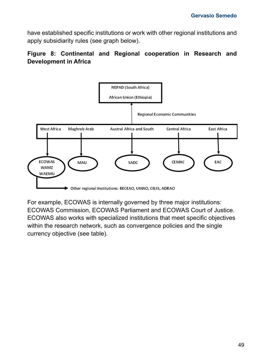have established specific institutions or work with other regional institutions and apply subsidiarity rules (see graph below).

#### **Figure 8: Continental and Regional cooperation in Research and Development in Africa**



For example, ECOWAS is internally governed by three major institutions: ECOWAS Commission, ECOWAS Parliament and ECOWAS Court of Justice. ECOWAS also works with specialized institutions that meet specific objectives within the research network, such as convergence policies and the single currency objective (see table).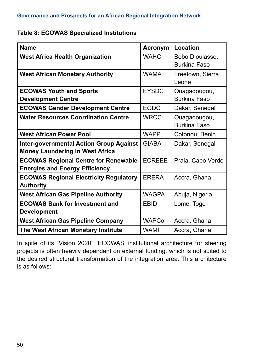#### **Table 8: ECOWAS Specialized Institutions**

| <b>Name</b>                                                                              | Acronym       | Location                            |
|------------------------------------------------------------------------------------------|---------------|-------------------------------------|
| <b>West Africa Health Organization</b>                                                   | <b>WAHO</b>   | Bobo Dioulasso,<br>Burkina Faso     |
| <b>West African Monetary Authority</b>                                                   | <b>WAMA</b>   | Freetown, Sierra<br>Leone           |
| <b>ECOWAS Youth and Sports</b><br><b>Development Centre</b>                              | <b>EYSDC</b>  | Ouagadougou,<br>Burkina Faso        |
| <b>ECOWAS Gender Development Centre</b>                                                  | <b>EGDC</b>   | Dakar, Senegal                      |
| <b>Water Resources Coordination Centre</b>                                               | <b>WRCC</b>   | Ouagadougou,<br><b>Burkina Faso</b> |
| <b>West African Power Pool</b>                                                           | <b>WAPP</b>   | Cotonou, Benin                      |
| <b>Inter-governmental Action Group Against</b><br><b>Money Laundering in West Africa</b> | <b>GIABA</b>  | Dakar, Senegal                      |
| <b>ECOWAS Regional Centre for Renewable</b><br><b>Energies and Energy Efficiency</b>     | <b>ECREEE</b> | Praia, Cabo Verde                   |
| <b>ECOWAS Regional Electricity Regulatory</b><br><b>Authority</b>                        | <b>ERERA</b>  | Accra, Ghana                        |
| <b>West African Gas Pipeline Authority</b>                                               | <b>WAGPA</b>  | Abuja, Nigeria                      |
| <b>ECOWAS Bank for Investment and</b><br><b>Development</b>                              | <b>FBID</b>   | Lome, Togo                          |
| <b>West African Gas Pipeline Company</b>                                                 | <b>WAPCo</b>  | Accra, Ghana                        |
| The West African Monetary Institute                                                      | WAMI          | Accra, Ghana                        |

In spite of its "Vision 2020", ECOWAS' institutional architecture for steering projects is often heavily dependent on external funding, which is not suited to the desired structural transformation of the integration area. This architecture is as follows: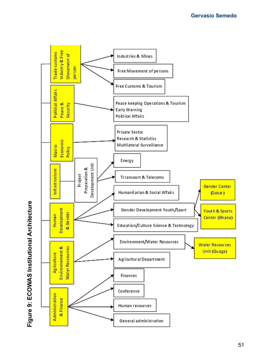

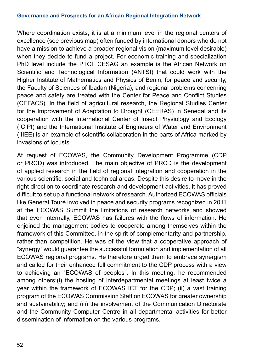Where coordination exists, it is at a minimum level in the regional centers of excellence (see previous map) often funded by international donors who do not have a mission to achieve a broader regional vision (maximum level desirable) when they decide to fund a project. For economic training and specialization PhD level include the PTCI, CESAG an example is the African Network on Scientific and Technological Information (ANTSI) that could work with the Higher Institute of Mathematics and Physics of Benin, for peace and security, the Faculty of Sciences of Ibadan (Nigeria), and regional problems concerning peace and safety are treated with the Center for Peace and Conflict Studies (CEFACS). In the field of agricultural research, the Regional Studies Center for the Improvement of Adaptation to Drought (CEERAS) in Senegal and its cooperation with the International Center of Insect Physiology and Ecology (ICIPI) and the International Institute of Engineers of Water and Environment (IIIEE) is an example of scientific collaboration in the parts of Africa marked by invasions of locusts.

At request of ECOWAS, the Community Development Programme (CDP or PRCD) was introduced. The main objective of PRCD is the development of applied research in the field of regional integration and cooperation in the various scientific, social and technical areas. Despite this desire to move in the right direction to coordinate research and development activities, it has proved difficult to set up a functional network of research. Authorized ECOWAS officials like General Touré involved in peace and security programs recognized in 2011 at the ECOWAS Summit the limitations of research networks and showed that even internally, ECOWAS has failures with the flows of information. He enjoined the management bodies to cooperate among themselves within the framework of this Committee, in the spirit of complementarity and partnership, rather than competition. He was of the view that a cooperative approach of "synergy" would guarantee the successful formulation and implementation of all ECOWAS regional programs. He therefore urged them to embrace synergism and called for their enhanced full commitment to the CDP process with a view to achieving an "ECOWAS of peoples". In this meeting, he recommended among others;(i) the hosting of interdepartmental meetings at least twice a year within the framework of ECOWAS ICT for the CDP; (ii) a vast training program of the ECOWAS Commission Staff on ECOWAS for greater ownership and sustainability; and (iii) the involvement of the Communication Directorate and the Community Computer Centre in all departmental activities for better dissemination of information on the various programs.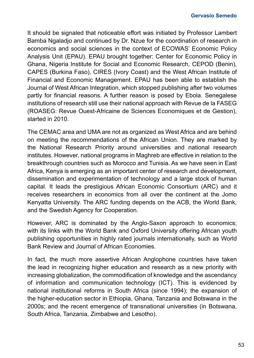It should be signaled that noticeable effort was initiated by Professor Lambert Bamba Ngaladjo and continued by Dr. Nzue for the coordination of research in economics and social sciences in the context of ECOWAS' Economic Policy Analysis Unit (EPAU). EPAU brought together: Center for Economic Policy in Ghana, Nigeria Institute for Social and Economic Research, CEPOD (Benin), CAPES (Burkina Faso), CIRES (Ivory Coast) and the West African Institute of Financial and Economic Management. EPAU has been able to establish the Journal of West African Integration, which stopped publishing after two volumes partly for financial reasons. A further reason is posed by Ebola. Senegalese institutions of research still use their national approach with Revue de la FASEG (ROASEG: Revue Ouest-Africaine de Sciences Economiques et de Gestion), started in 2010.

The CEMAC area and UMA are not as organized as West Africa and are behind on meeting the recommendations of the African Union. They are marked by the National Research Priority around universities and national research institutes. However, national programs in Maghreb are effective in relation to the breakthrough countries such as Morocco and Tunisia. As we have seen in East Africa, Kenya is emerging as an important center of research and development, dissemination and experimentation of technology and a large stock of human capital. It leads the prestigious African Economic Consortium (ARC) and it receives researchers in economics from all over the continent at the Jomo Kenyatta University. The ARC funding depends on the ACB, the World Bank, and the Swedish Agency for Cooperation.

However, ARC is dominated by the Anglo-Saxon approach to economics; with its links with the World Bank and Oxford University offering African youth publishing opportunities in highly rated journals internationally, such as World Bank Review and Journal of African Economies.

In fact, the much more assertive African Anglophone countries have taken the lead in recognizing higher education and research as a new priority with increasing globalization, the commodification of knowledge and the ascendancy of information and communication technology (ICT). This is evidenced by national institutional reforms in South Africa (since 1994); the expansion of the higher-education sector in Ethiopia, Ghana, Tanzania and Botswana in the 2000s; and the recent emergence of transnational universities (in Botswana, South Africa, Tanzania, Zimbabwe and Lesotho).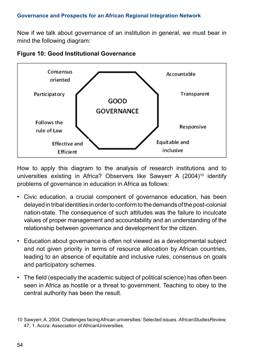Now if we talk about governance of an institution in general, we must bear in mind the following diagram:



**Figure 10: Good Institutional Governance**

How to apply this diagram to the analysis of research institutions and to universities existing in Africa? Observers like Sawyerr A (2004)<sup>10</sup> identify problems of governance in education in Africa as follows:

- Civic education, a crucial component of governance education, has been delayed in tribal identities in order to conform to the demands of the post-colonial nation-state. The consequence of such attitudes was the failure to inculcate values of proper management and accountability and an understanding of the relationship between governance and development for the citizen.
- Education about governance is often not viewed as a developmental subject and not given priority in terms of resource allocation by African countries, leading to an absence of equitable and inclusive rules, consensus on goals and participatory schemes.
- The field (especially the academic subject of political science) has often been seen in Africa as hostile or a threat to government. Teaching to obey to the central authority has been the result.

<sup>10</sup> Sawyerr, A. 2004. Challenges facing African universities: Selected issues. *AfricanStudiesReview,*  47, 1. Accra: Association of AfricanUniversities.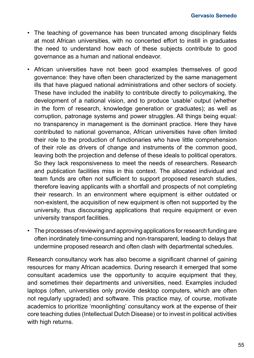- The teaching of governance has been truncated among disciplinary fields at most African universities, with no concerted effort to instill in graduates the need to understand how each of these subjects contribute to good governance as a human and national endeavor.
- African universities have not been good examples themselves of good governance: they have often been characterized by the same management ills that have plagued national administrations and other sectors of society. These have included the inability to contribute directly to policymaking, the development of a national vision, and to produce 'usable' output (whether in the form of research, knowledge generation or graduates); as well as corruption, patronage systems and power struggles. All things being equal: no transparency in management is the dominant practice. Here they have contributed to national governance, African universities have often limited their role to the production of functionaries who have little comprehension of their role as drivers of change and instruments of the common good, leaving both the projection and defense of these ideals to political operators. So they lack responsiveness to meet the needs of researchers. Research and publication facilities miss in this context. The allocated individual and team funds are often not sufficient to support proposed research studies, therefore leaving applicants with a shortfall and prospects of not completing their research. In an environment where equipment is either outdated or non-existent, the acquisition of new equipment is often not supported by the university, thus discouraging applications that require equipment or even university transport facilities.
- The processes of reviewing and approving applications for research funding are often inordinately time-consuming and non-transparent, leading to delays that undermine proposed research and often clash with departmental schedules.

Research consultancy work has also become a significant channel of gaining resources for many African academics. During research it emerged that some consultant academics use the opportunity to acquire equipment that they, and sometimes their departments and universities, need. Examples included laptops (often, universities only provide desktop computers, which are often not regularly upgraded) and software. This practice may, of course, motivate academics to prioritize 'moonlighting' consultancy work at the expense of their core teaching duties (Intellectual Dutch Disease) or to invest in political activities with high returns.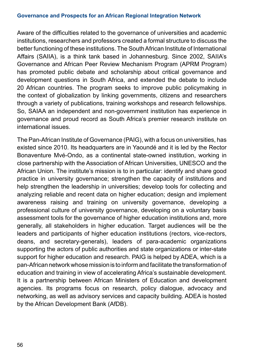Aware of the difficulties related to the governance of universities and academic institutions, researchers and professors created a formal structure to discuss the better functioning of these institutions. The South African Institute of International Affairs (SAIIA), is a think tank based in Johannesburg. Since 2002, SAIIA's Governance and African Peer Review Mechanism Program (APRM Program) has promoted public debate and scholarship about critical governance and development questions in South Africa, and extended the debate to include 20 African countries. The program seeks to improve public policymaking in the context of globalization by linking governments, citizens and researchers through a variety of publications, training workshops and research fellowships. So, SAIAA an independent and non-government institution has experience in governance and proud record as South Africa's premier research institute on international issues.

The Pan-African Institute of Governance (PAIG), with a focus on universities, has existed since 2010. Its headquarters are in Yaoundé and it is led by the Rector Bonaventure Mvé-Ondo, as a continental state-owned institution, working in close partnership with the Association of African Universities, UNESCO and the African Union. The institute's mission is to in particular: identify and share good practice in university governance; strengthen the capacity of institutions and help strengthen the leadership in universities; develop tools for collecting and analyzing reliable and recent data on higher education; design and implement awareness raising and training on university governance, developing a professional culture of university governance, developing on a voluntary basis assessment tools for the governance of higher education institutions and, more generally, all stakeholders in higher education. Target audiences will be the leaders and participants of higher education institutions (rectors, vice-rectors, deans, and secretary-generals), leaders of para-academic organizations supporting the actors of public authorities and state organizations or inter-state support for higher education and research. PAIG is helped by ADEA, which is a pan-African network whose mission is to inform and facilitate the transformation of education and training in view of accelerating Africa's sustainable development. It is a partnership between African Ministers of Education and development agencies. Its programs focus on research, policy dialogue, advocacy and networking, as well as advisory services and capacity building. ADEA is hosted by the African Development Bank (AfDB).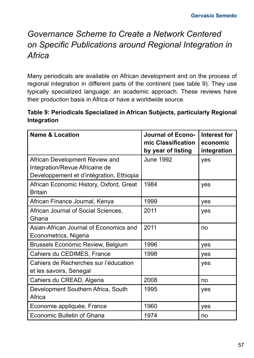# *Governance Scheme to Create a Network Centered on Specific Publications around Regional Integration in Africa*

Many periodicals are available on African development and on the process of regional integration in different parts of the continent (see table 9). They use typically specialized language: an academic approach. These reviews have their production basis in Africa or have a worldwide source.

#### **Table 9: Periodicals Specialized in African Subjects, particularly Regional Integration**

| <b>Name &amp; Location</b>                                                                                   | <b>Journal of Econo-</b><br>mic Classification<br>by year of listing | Interest for<br>economic<br>integration |
|--------------------------------------------------------------------------------------------------------------|----------------------------------------------------------------------|-----------------------------------------|
| African Development Review and<br>Integration/Revue Africaine de<br>Developpement et d'intégration, Ethiopia | June 1992                                                            | yes                                     |
| African Economic History, Oxford, Great<br><b>Britain</b>                                                    | 1984                                                                 | yes                                     |
| African Finance Journal, Kenya                                                                               | 1999                                                                 | ves                                     |
| African Journal of Social Sciences,<br>Ghana                                                                 | 2011                                                                 | yes                                     |
| Asian-African Journal of Economics and<br>Econometrics, Nigeria                                              | 2011                                                                 | no                                      |
| Brussels Economic Review, Belgium                                                                            | 1996                                                                 | ves                                     |
| Cahiers du CEDIMES, France                                                                                   | 1998                                                                 | yes                                     |
| Cahiers de Recherches sur l'éducation<br>et les savoirs, Senegal                                             |                                                                      | ves                                     |
| Cahiers du CREAD, Algeria                                                                                    | 2008                                                                 | no                                      |
| Development Southern Africa, South<br>Africa                                                                 | 1995                                                                 | yes                                     |
| Economie appliquée, France                                                                                   | 1960                                                                 | yes                                     |
| Economic Bulletin of Ghana                                                                                   | 1974                                                                 | no                                      |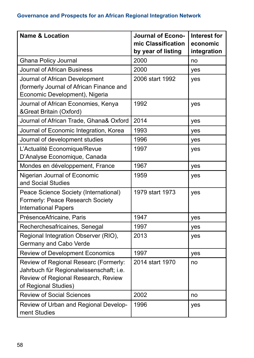| <b>Name &amp; Location</b>                                                                                                                      | <b>Journal of Econo-</b><br>mic Classification<br>by year of listing | <b>Interest for</b><br>economic<br>integration |
|-------------------------------------------------------------------------------------------------------------------------------------------------|----------------------------------------------------------------------|------------------------------------------------|
| Ghana Policy Journal                                                                                                                            | 2000                                                                 | no                                             |
| Journal of African Business                                                                                                                     | 2000                                                                 | yes                                            |
| Journal of African Development<br>(formerly Journal of African Finance and<br>Economic Development), Nigeria                                    | 2006 start 1992                                                      | yes                                            |
| Journal of African Economies, Kenya<br>&Great Britain (Oxford)                                                                                  | 1992                                                                 | yes                                            |
| Journal of African Trade, Ghana& Oxford                                                                                                         | 2014                                                                 | yes                                            |
| Journal of Economic Integration, Korea                                                                                                          | 1993                                                                 | yes                                            |
| Journal of development studies                                                                                                                  | 1996                                                                 | yes                                            |
| L'Actualité Economique/Revue<br>D'Analyse Economique, Canada                                                                                    | 1997                                                                 | yes                                            |
| Mondes en développement, France                                                                                                                 | 1967                                                                 | yes                                            |
| Nigerian Journal of Economic<br>and Social Studies                                                                                              | 1959                                                                 | yes                                            |
| Peace Science Society (International)<br>Formerly: Peace Research Society<br><b>International Papers</b>                                        | 1979 start 1973                                                      | yes                                            |
| PrésenceAfricaine, Paris                                                                                                                        | 1947                                                                 | yes                                            |
| Recherchesafricaines, Senegal                                                                                                                   | 1997                                                                 | yes                                            |
| Regional Integration Observer (RIO),<br>Germany and Cabo Verde                                                                                  | 2013                                                                 | yes                                            |
| <b>Review of Development Economics</b>                                                                                                          | 1997                                                                 | yes                                            |
| Review of Regional Researc (Formerly:<br>Jahrbuch für Regionalwissenschaft; i.e.<br>Review of Regional Research, Review<br>of Regional Studies) | 2014 start 1970                                                      | no                                             |
| <b>Review of Social Sciences</b>                                                                                                                | 2002                                                                 | no                                             |
| Review of Urban and Regional Develop-<br>ment Studies                                                                                           | 1996                                                                 | yes                                            |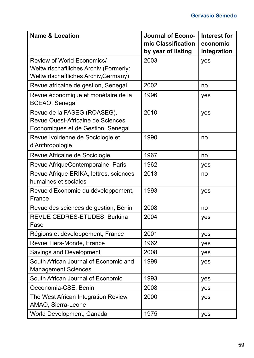| <b>Name &amp; Location</b>                                                                                    | <b>Journal of Econo-</b><br>mic Classification<br>by year of listing | <b>Interest for</b><br>economic<br>integration |
|---------------------------------------------------------------------------------------------------------------|----------------------------------------------------------------------|------------------------------------------------|
| Review of World Economics/<br>Weltwirtschaftliches Archiv (Formerly:<br>Weltwirtschaftliches Archiv, Germany) | 2003                                                                 | yes                                            |
| Revue africaine de gestion, Senegal                                                                           | 2002                                                                 | no                                             |
| Revue économique et monétaire de la<br>BCEAO, Senegal                                                         | 1996                                                                 | yes                                            |
| Revue de la FASEG (ROASEG),<br>Revue Ouest-Africaine de Sciences<br>Economiques et de Gestion, Senegal        | 2010                                                                 | yes                                            |
| Revue Ivoirienne de Sociologie et<br>d'Anthropologie                                                          | 1990                                                                 | no                                             |
| Revue Africaine de Sociologie                                                                                 | 1967                                                                 | no                                             |
| Revue AfriqueContemporaine, Paris                                                                             | 1962                                                                 | yes                                            |
| Revue Afrique ERIKA, lettres, sciences<br>humaines et sociales                                                | 2013                                                                 | no                                             |
| Revue d'Economie du développement,<br>France                                                                  | 1993                                                                 | yes                                            |
| Revue des sciences de gestion, Bénin                                                                          | 2008                                                                 | no                                             |
| REVUE CEDRES-ETUDES, Burkina<br>Faso                                                                          | 2004                                                                 | yes                                            |
| Régions et développement, France                                                                              | 2001                                                                 | yes                                            |
| Revue Tiers-Monde, France                                                                                     | 1962                                                                 | yes                                            |
| Savings and Development                                                                                       | 2008                                                                 | yes                                            |
| South African Journal of Economic and<br><b>Management Sciences</b>                                           | 1999                                                                 | yes                                            |
| South African Journal of Economic                                                                             | 1993                                                                 | yes                                            |
| Oeconomia-CSE, Benin                                                                                          | 2008                                                                 | yes                                            |
| The West African Integration Review,<br>AMAO, Sierra-Leone                                                    | 2000                                                                 | yes                                            |
| World Development, Canada                                                                                     | 1975                                                                 | yes                                            |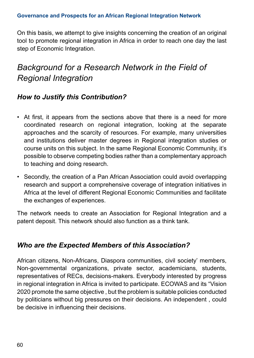On this basis, we attempt to give insights concerning the creation of an original tool to promote regional integration in Africa in order to reach one day the last step of Economic Integration.

# *Background for a Research Network in the Field of Regional Integration*

# *How to Justify this Contribution?*

- At first, it appears from the sections above that there is a need for more coordinated research on regional integration, looking at the separate approaches and the scarcity of resources. For example, many universities and institutions deliver master degrees in Regional integration studies or course units on this subject. In the same Regional Economic Community, it's possible to observe competing bodies rather than a complementary approach to teaching and doing research.
- Secondly, the creation of a Pan African Association could avoid overlapping research and support a comprehensive coverage of integration initiatives in Africa at the level of different Regional Economic Communities and facilitate the exchanges of experiences.

The network needs to create an Association for Regional Integration and a patent deposit. This network should also function as a think tank.

# *Who are the Expected Members of this Association?*

African citizens, Non-Africans, Diaspora communities, civil society' members, Non-governmental organizations, private sector, academicians, students, representatives of RECs, decisions-makers. Everybody interested by progress in regional integration in Africa is invited to participate. ECOWAS and its "Vision 2020 promote the same objective , but the problem is suitable policies conducted by politicians without big pressures on their decisions. An independent , could be decisive in influencing their decisions.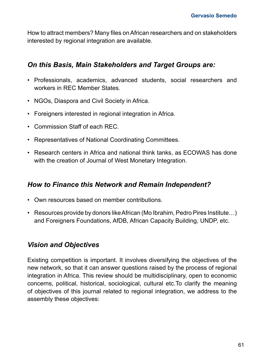How to attract members? Many files on African researchers and on stakeholders interested by regional integration are available.

### *On this Basis, Main Stakeholders and Target Groups are:*

- Professionals, academics, advanced students, social researchers and workers in REC Member States.
- NGOs, Diaspora and Civil Society in Africa.
- Foreigners interested in regional integration in Africa.
- Commission Staff of each REC.
- Representatives of National Coordinating Committees.
- Research centers in Africa and national think tanks, as ECOWAS has done with the creation of Journal of West Monetary Integration.

#### *How to Finance this Network and Remain Independent?*

- Own resources based on member contributions.
- Resources provide by donors like African (Mo Ibrahim, Pedro Pires Institute…) and Foreigners Foundations, AfDB, African Capacity Building, UNDP, etc.

## *Vision and Objectives*

Existing competition is important. It involves diversifying the objectives of the new network, so that it can answer questions raised by the process of regional integration in Africa. This review should be multidisciplinary, open to economic concerns, political, historical, sociological, cultural etc.To clarify the meaning of objectives of this journal related to regional integration, we address to the assembly these objectives: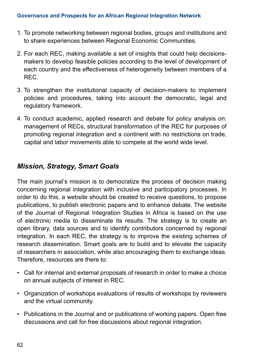- 1. To promote networking between regional bodies, groups and institutions and to share experiences between Regional Economic Communities.
- 2. For each REC, making available a set of insights that could help decisionsmakers to develop feasible policies according to the level of development of each country and the effectiveness of heterogeneity between members of a REC.
- 3. To strengthen the institutional capacity of decision-makers to implement policies and procedures, taking into account the democratic, legal and regulatory framework.
- 4. To conduct academic, applied research and debate for policy analysis on: management of RECs, structural transformation of the REC for purposes of promoting regional integration and a continent with no restrictions on trade, capital and labor movements able to compete at the world wide level.

## *Mission, Strategy, Smart Goals*

The main journal's mission is to democratize the process of decision making concerning regional integration with inclusive and participatory processes. In order to do this, a website should be created to receive questions, to propose publications, to publish electronic papers and to enhance debate. The website of the Journal of Regional Integration Studies in Africa is based on the use of electronic media to disseminate its results. The strategy is to create an open library, data sources and to identify contributors concerned by regional integration. In each REC, the strategy is to improve the existing schemes of research dissemination. Smart goals are to build and to elevate the capacity of researchers in association, while also encouraging them to exchange ideas. Therefore, resources are there to:

- Call for internal and external proposals of research in order to make a choice on annual subjects of interest in REC.
- Organization of workshops evaluations of results of workshops by reviewers and the virtual community.
- Publications in the Journal and or publications of working papers. Open free discussions and call for free discussions about regional integration.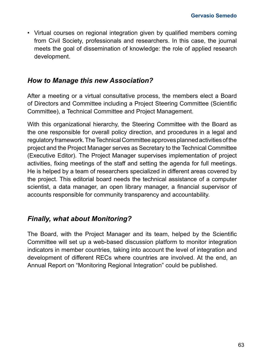• Virtual courses on regional integration given by qualified members coming from Civil Society, professionals and researchers. In this case, the journal meets the goal of dissemination of knowledge: the role of applied research development.

### *How to Manage this new Association?*

After a meeting or a virtual consultative process, the members elect a Board of Directors and Committee including a Project Steering Committee (Scientific Committee), a Technical Committee and Project Management.

With this organizational hierarchy, the Steering Committee with the Board as the one responsible for overall policy direction, and procedures in a legal and regulatory framework. The Technical Committee approves planned activities of the project and the Project Manager serves as Secretary to the Technical Committee (Executive Editor). The Project Manager supervises implementation of project activities, fixing meetings of the staff and setting the agenda for full meetings. He is helped by a team of researchers specialized in different areas covered by the project. This editorial board needs the technical assistance of a computer scientist, a data manager, an open library manager, a financial supervisor of accounts responsible for community transparency and accountability.

### *Finally, what about Monitoring?*

The Board, with the Project Manager and its team, helped by the Scientific Committee will set up a web-based discussion platform to monitor integration indicators in member countries, taking into account the level of integration and development of different RECs where countries are involved. At the end, an Annual Report on "Monitoring Regional Integration" could be published.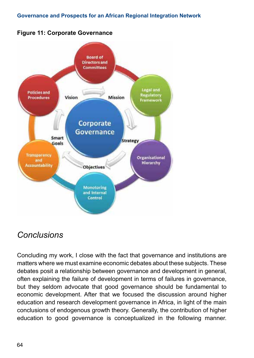

## **Figure 11: Corporate Governance**

# *Conclusions*

Concluding my work, I close with the fact that governance and institutions are matters where we must examine economic debates about these subjects. These debates posit a relationship between governance and development in general, often explaining the failure of development in terms of failures in governance, but they seldom advocate that good governance should be fundamental to economic development. After that we focused the discussion around higher education and research development governance in Africa, in light of the main conclusions of endogenous growth theory. Generally, the contribution of higher education to good governance is conceptualized in the following manner.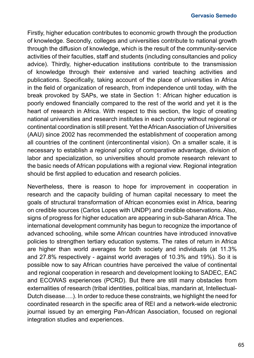Firstly, higher education contributes to economic growth through the production of knowledge. Secondly, colleges and universities contribute to national growth through the diffusion of knowledge, which is the result of the community-service activities of their faculties, staff and students (including consultancies and policy advice). Thirdly, higher-education institutions contribute to the transmission of knowledge through their extensive and varied teaching activities and publications. Specifically, taking account of the place of universities in Africa in the field of organization of research, from independence until today, with the break provoked by SAPs, we state in Section 1: African higher education is poorly endowed financially compared to the rest of the world and yet it is the heart of research in Africa. With respect to this section, the logic of creating national universities and research institutes in each country without regional or continental coordination is still present. Yet the African Association of Universities (AAU) since 2002 has recommended the establishment of cooperation among all countries of the continent (intercontinental vision). On a smaller scale, it is necessary to establish a regional policy of comparative advantage, division of labor and specialization, so universities should promote research relevant to the basic needs of African populations with a regional view. Regional integration should be first applied to education and research policies.

Nevertheless, there is reason to hope for improvement in cooperation in research and the capacity building of human capital necessary to meet the goals of structural transformation of African economies exist in Africa, bearing on credible sources (Carlos Lopes with UNDP) and credible observations. Also, signs of progress for higher education are appearing in sub-Saharan Africa. The international development community has begun to recognize the importance of advanced schooling, while some African countries have introduced innovative policies to strengthen tertiary education systems. The rates of return in Africa are higher than world averages for both society and individuals (at 11.3% and 27.8% respectively - against world averages of 10.3% and 19%). So it is possible now to say African countries have perceived the value of continental and regional cooperation in research and development looking to SADEC, EAC and ECOWAS experiences (PCRD). But there are still many obstacles from externalities of research (tribal identities, political bias, mandarin at, Intellectual-Dutch disease….). In order to reduce these constraints, we highlight the need for coordinated research in the specific area of REI and a network-wide electronic journal issued by an emerging Pan-African Association, focused on regional integration studies and experiences.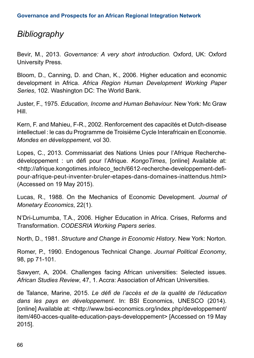# *Bibliography*

Bevir, M., 2013. *Governance: A very short introduction.* Oxford, UK: Oxford University Press.

Bloom, D., Canning, D. and Chan, K., 2006. Higher education and economic development in Africa. *Africa Region Human Development Working Paper Series*, 102. Washington DC: The World Bank.

Juster, F., 1975. *Education, Income and Human Behaviour.* New York: Mc Graw Hill.

Kern, F. and Mahieu, F-R., 2002. Renforcement des capacités et Dutch-disease intellectuel : le cas du Programme de Troisième Cycle Interafricain en Economie. *Mondes en développement*, vol 30.

Lopes, C., 2013. Commissariat des Nations Unies pour l'Afrique Recherchedéveloppement : un défi pour l'Afrique. *KongoTimes*, [online] Available at: <http://afrique.kongotimes.info/eco\_tech/6612-recherche-developpement-defipour-afrique-peut-inventer-bruler-etapes-dans-domaines-inattendus.html> (Accessed on 19 May 2015).

Lucas, R., 1988. On the Mechanics of Economic Development. *Journal of Monetary Economics*, 22(1).

N'Dri-Lumumba, T.A., 2006. Higher Education in Africa. Crises, Reforms and Transformation. *CODESRIA Working Papers series*.

North, D., 1981. *Structure and Change in Economic History*. New York: Norton.

Romer, P., 1990. Endogenous Technical Change. *Journal Political Economy*, 98, pp 71-101.

Sawyerr, A, 2004. Challenges facing African universities: Selected issues. *African Studies Review*, 47, 1. Accra: Association of African Universities.

de Talance, Marine, 2015. *Le défi de l'accès et de la qualité de l'éducation dans les pays en développement.* In: BSI Economics, UNESCO (2014). [online] Available at: <http://www.bsi-economics.org/index.php/developpement/ item/460-acces-qualite-education-pays-developpement> [Accessed on 19 May 2015].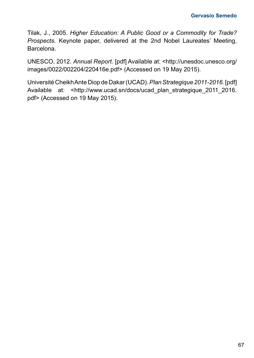Tilak, J., 2005. *Higher Education: A Public Good or a Commodity for Trade? Prospects.* Keynote paper, delivered at the 2nd Nobel Laureates' Meeting, Barcelona.

UNESCO, 2012. *Annual Report.* [pdf] Available at: <http://unesdoc.unesco.org/ images/0022/002204/220416e.pdf> (Accessed on 19 May 2015).

Université Cheikh Ante Diop de Dakar (UCAD). *Plan Strategique 2011-2016.* [pdf] Available at: <http://www.ucad.sn/docs/ucad\_plan\_strategique\_2011\_2016. pdf> (Accessed on 19 May 2015).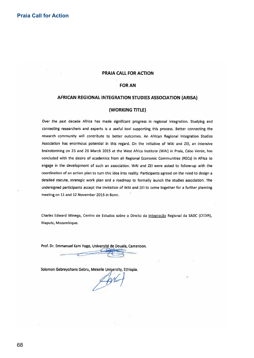#### **Praia Call for Action**

#### PRAIA CALL FOR ACTION

#### **FOR AN**

#### AFRICAN REGIONAL INTEGRATION STUDIES ASSOCIATION (ARISA)

#### (WORKING TITLE)

Over the past decade Africa has made significant progress in regional integration. Studying and connecting researchers and experts is a useful tool supporting this process. Better connecting the research community will contribute to better outcomes. An African Regional Integration Studies Association has enormous potential in this regard. On the initiative of WAI and ZEI, an intensive brainstorming on 25 and 26 March 2015 at the West Africa Institute (WAI) in Praia, Cabo Verde, has concluded with the desire of academics from all Regional Economic Communities (RECs) in Africa to engage in the development of such an association. WAI and ZEI were asked to follow-up with the coordination of an action plan to turn this idea into reality. Participants agreed on the need to design a detailed statute, strategic work plan and a roadmap to formally launch the studies association. The undersigned participants accept the invitation of WAI and ZEI to come together for a further planning meeting on 11 and 12 November 2015 in Bonn.

Charles Edward Minega, Centro de Estudos sobre o Direito da Integração Regional da SADC (CEDIR), Maputo, Mozambique.

Prof. Dr. Emmanuel Kam Yogo, Université de Douala, Cameroon.

Solomon Gebreyohans Gebru, Mekelle University, Ethiopia.

 $Ab4$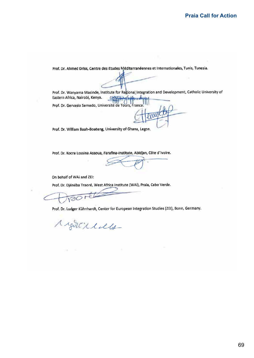Prof. Dr. Ahmed Driss, Centre des Etudes Méditerranéennes et Internationales, Tunis, Tunesia.

Prof. Dr. Wanyama Masinde, Institute for Regional Integration and Development, Catholic University of Eastern Africa, Nairobi, Kenya. CAPITAGE WONDER Prof. Dr. Gervasio Semedo, Université de Tours, France

twee

Prof. Dr. William Baah-Boateng, University of Ghana, Legon.

Prof. Dr. Kocra Lossina Assoua, Farafina-Institute, Abidjan, Côte d'Ivoire.

On behalf of WAI and ZEI:

Prof. Dr. Diénéba Traoré, West Africa Institute (WAI), Praia, Cabo Verde.

vaor  $\epsilon$ 

Prof. Dr. Ludger Kühnhardt, Center for European Integration Studies (ZEI), Bonn, Germany.

Might ildu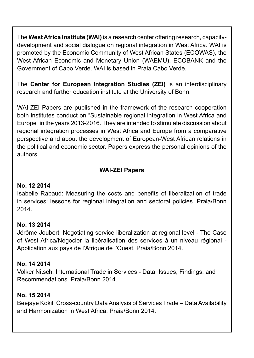The **West Africa Institute (WAI)** is a research center offering research, capacitydevelopment and social dialogue on regional integration in West Africa. WAI is promoted by the Economic Community of West African States (ECOWAS), the West African Economic and Monetary Union (WAEMU), ECOBANK and the Government of Cabo Verde. WAI is based in Praia Cabo Verde.

The **Center for European Integration Studies (ZEI)** is an interdisciplinary research and further education institute at the University of Bonn.

WAI-ZEI Papers are published in the framework of the research cooperation both institutes conduct on "Sustainable regional integration in West Africa and Europe" in the years 2013-2016. They are intended to stimulate discussion about regional integration processes in West Africa and Europe from a comparative perspective and about the development of European-West African relations in the political and economic sector. Papers express the personal opinions of the authors.

#### **WAI-ZEI Papers**

#### **No. 12 2014**

Isabelle Rabaud: Measuring the costs and benefits of liberalization of trade in services: lessons for regional integration and sectoral policies. Praia/Bonn 2014.

### **No. 13 2014**

Jérôme Joubert: Negotiating service liberalization at regional level - The Case of West Africa/Négocier la libéralisation des services à un niveau régional - Application aux pays de l'Afrique de l'Ouest. Praia/Bonn 2014.

### **No. 14 2014**

Volker Nitsch: International Trade in Services - Data, Issues, Findings, and Recommendations. Praia/Bonn 2014.

### **No. 15 2014**

Beejaye Kokil: Cross-country Data Analysis of Services Trade – Data Availability and Harmonization in West Africa. Praia/Bonn 2014.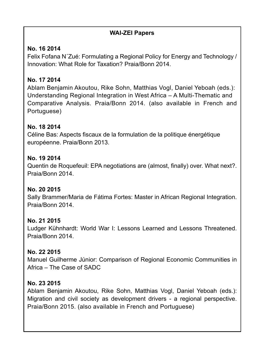#### **WAI-ZEI Papers**

# **No. 16 2014**

Felix Fofana N´Zué: Formulating a Regional Policy for Energy and Technology / Innovation: What Role for Taxation? Praia/Bonn 2014.

### **No. 17 2014**

Ablam Benjamin Akoutou, Rike Sohn, Matthias Vogl, Daniel Yeboah (eds.): Understanding Regional Integration in West Africa – A Multi-Thematic and Comparative Analysis. Praia/Bonn 2014. (also available in French and Portuguese)

# **No. 18 2014**

Céline Bas: Aspects fiscaux de la formulation de la politique énergétique européenne. Praia/Bonn 2013.

### **No. 19 2014**

Quentin de Roquefeuil: EPA negotiations are (almost, finally) over. What next?. Praia/Bonn 2014.

### **No. 20 2015**

Sally Brammer/Maria de Fátima Fortes: Master in African Regional Integration. Praia/Bonn 2014.

### **No. 21 2015**

Ludger Kühnhardt: World War I: Lessons Learned and Lessons Threatened. Praia/Bonn 2014.

### **No. 22 2015**

Manuel Guilherme Júnior: Comparison of Regional Economic Communities in Africa – The Case of SADC

### **No. 23 2015**

Ablam Benjamin Akoutou, Rike Sohn, Matthias Vogl, Daniel Yeboah (eds.): Migration and civil society as development drivers - a regional perspective. Praia/Bonn 2015. (also available in French and Portuguese)